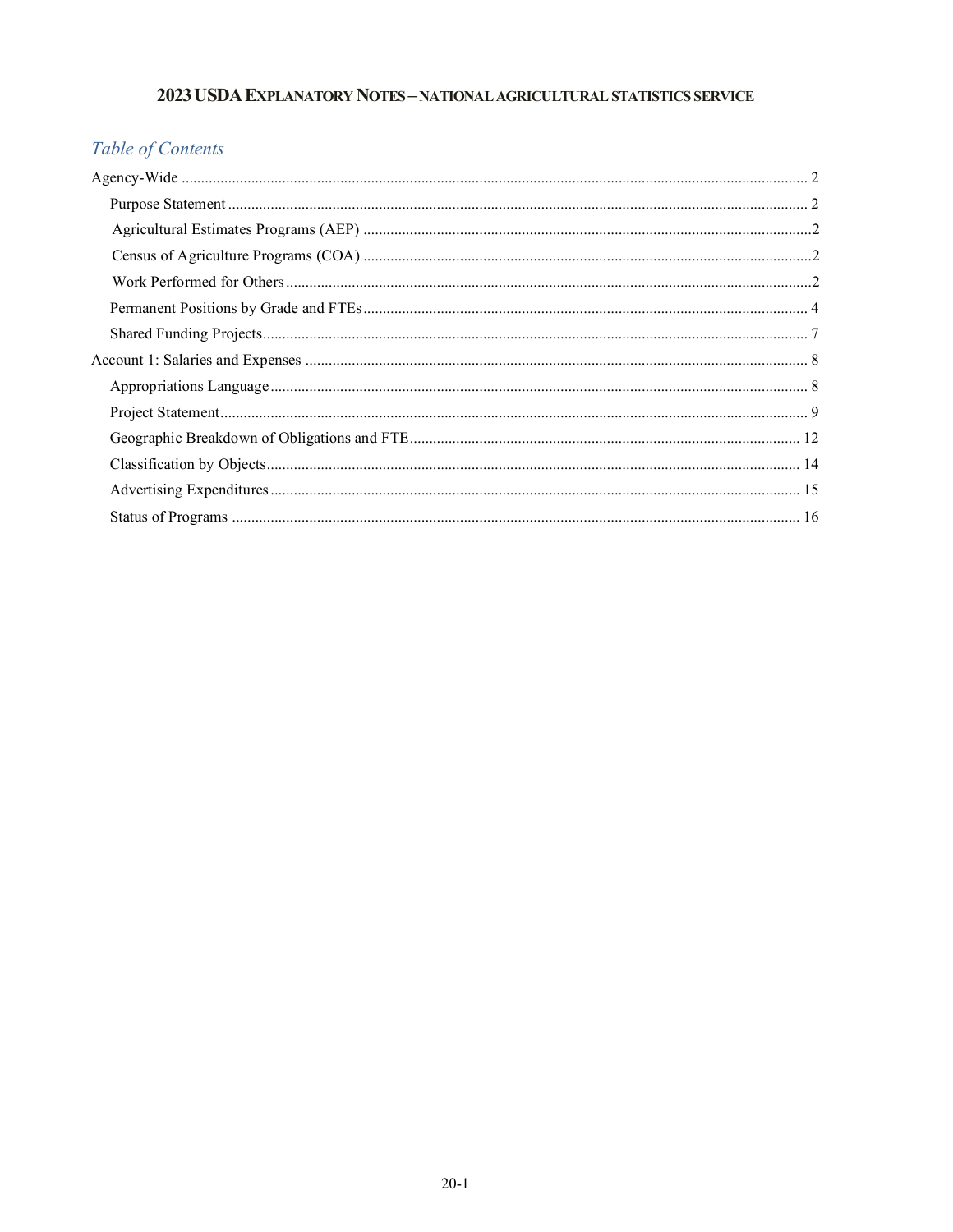## 2023 USDA EXPLANATORY NOTES - NATIONAL AGRICULTURAL STATISTICS SERVICE

# Table of Contents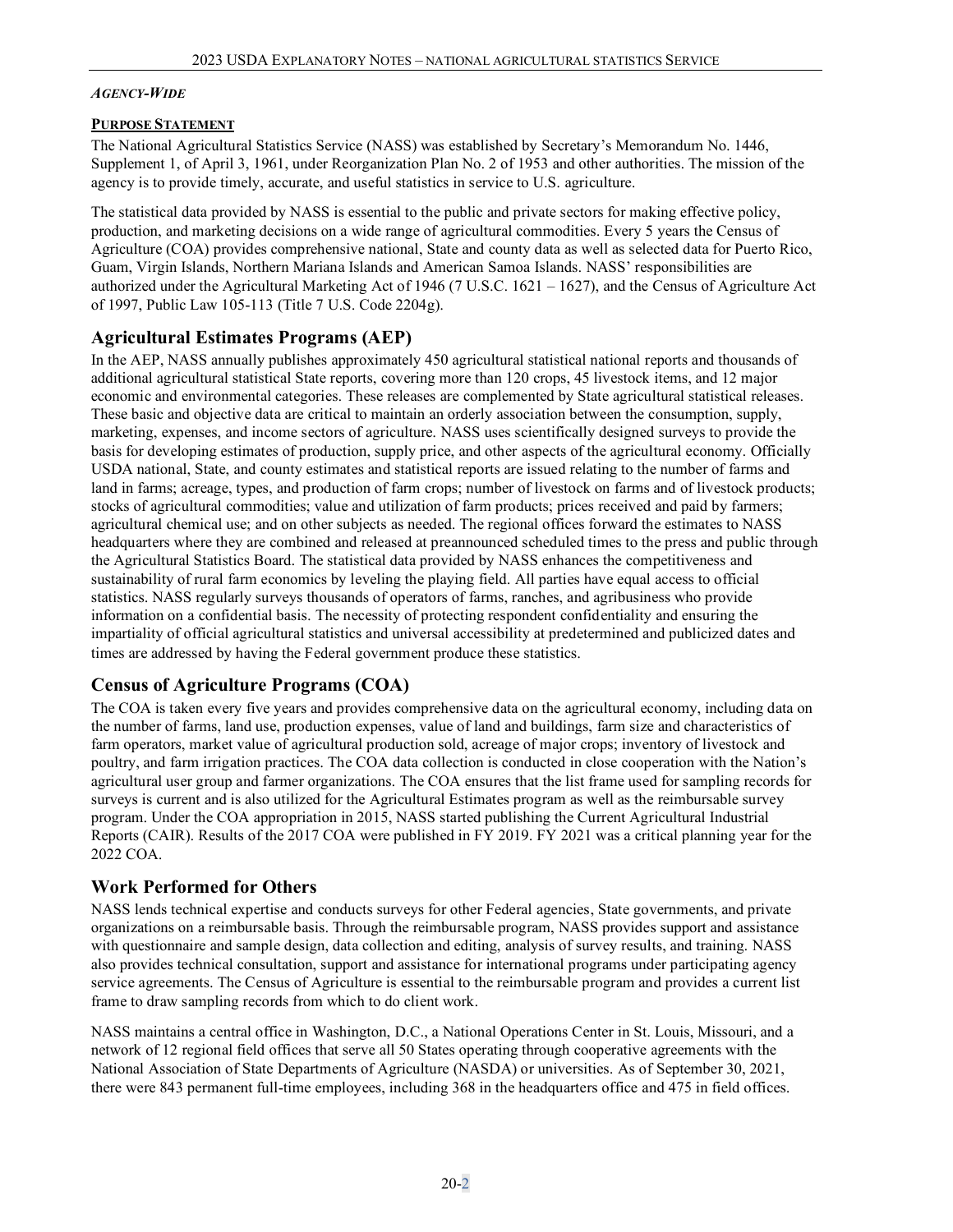#### <span id="page-1-0"></span>*AGENCY-WIDE*

### <span id="page-1-1"></span>**PURPOSE STATEMENT**

The National Agricultural Statistics Service (NASS) was established by Secretary's Memorandum No. 1446, Supplement 1, of April 3, 1961, under Reorganization Plan No. 2 of 1953 and other authorities. The mission of the agency is to provide timely, accurate, and useful statistics in service to U.S. agriculture.

The statistical data provided by NASS is essential to the public and private sectors for making effective policy, production, and marketing decisions on a wide range of agricultural commodities. Every 5 years the Census of Agriculture (COA) provides comprehensive national, State and county data as well as selected data for Puerto Rico, Guam, Virgin Islands, Northern Mariana Islands and American Samoa Islands. NASS' responsibilities are authorized under the Agricultural Marketing Act of 1946 (7 U.S.C. 1621 – 1627), and the Census of Agriculture Act of 1997, Public Law 105-113 (Title 7 U.S. Code 2204g).

## <span id="page-1-2"></span>**Agricultural Estimates Programs (AEP)**

In the AEP, NASS annually publishes approximately 450 agricultural statistical national reports and thousands of additional agricultural statistical State reports, covering more than 120 crops, 45 livestock items, and 12 major economic and environmental categories. These releases are complemented by State agricultural statistical releases. These basic and objective data are critical to maintain an orderly association between the consumption, supply, marketing, expenses, and income sectors of agriculture. NASS uses scientifically designed surveys to provide the basis for developing estimates of production, supply price, and other aspects of the agricultural economy. Officially USDA national, State, and county estimates and statistical reports are issued relating to the number of farms and land in farms; acreage, types, and production of farm crops; number of livestock on farms and of livestock products; stocks of agricultural commodities; value and utilization of farm products; prices received and paid by farmers; agricultural chemical use; and on other subjects as needed. The regional offices forward the estimates to NASS headquarters where they are combined and released at preannounced scheduled times to the press and public through the Agricultural Statistics Board. The statistical data provided by NASS enhances the competitiveness and sustainability of rural farm economics by leveling the playing field. All parties have equal access to official statistics. NASS regularly surveys thousands of operators of farms, ranches, and agribusiness who provide information on a confidential basis. The necessity of protecting respondent confidentiality and ensuring the impartiality of official agricultural statistics and universal accessibility at predetermined and publicized dates and times are addressed by having the Federal government produce these statistics.

## <span id="page-1-3"></span>**Census of Agriculture Programs (COA)**

The COA is taken every five years and provides comprehensive data on the agricultural economy, including data on the number of farms, land use, production expenses, value of land and buildings, farm size and characteristics of farm operators, market value of agricultural production sold, acreage of major crops; inventory of livestock and poultry, and farm irrigation practices. The COA data collection is conducted in close cooperation with the Nation's agricultural user group and farmer organizations. The COA ensures that the list frame used for sampling records for surveys is current and is also utilized for the Agricultural Estimates program as well as the reimbursable survey program. Under the COA appropriation in 2015, NASS started publishing the Current Agricultural Industrial Reports (CAIR). Results of the 2017 COA were published in FY 2019. FY 2021 was a critical planning year for the 2022 COA.

## <span id="page-1-4"></span>**Work Performed for Others**

NASS lends technical expertise and conducts surveys for other Federal agencies, State governments, and private organizations on a reimbursable basis. Through the reimbursable program, NASS provides support and assistance with questionnaire and sample design, data collection and editing, analysis of survey results, and training. NASS also provides technical consultation, support and assistance for international programs under participating agency service agreements. The Census of Agriculture is essential to the reimbursable program and provides a current list frame to draw sampling records from which to do client work.

NASS maintains a central office in Washington, D.C., a National Operations Center in St. Louis, Missouri, and a network of 12 regional field offices that serve all 50 States operating through cooperative agreements with the National Association of State Departments of Agriculture (NASDA) or universities. As of September 30, 2021, there were 843 permanent full-time employees, including 368 in the headquarters office and 475 in field offices.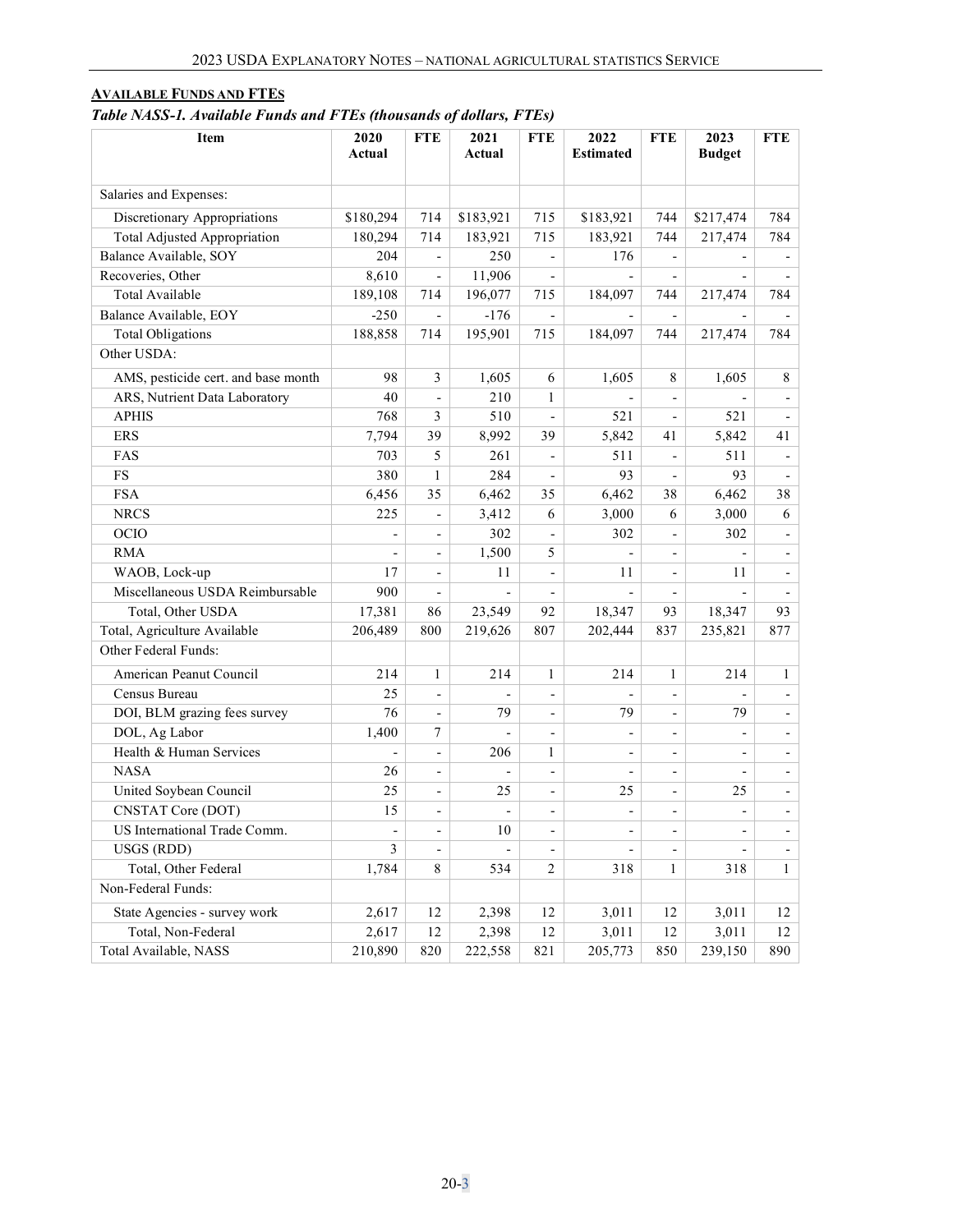## **AVAILABLE FUNDS AND FTES**

*Table NASS-1. Available Funds and FTEs (thousands of dollars, FTEs)*

| Item                                | 2020      | <b>FTE</b>               | 2021          | <b>FTE</b>               | 2022                     | <b>FTE</b>               | 2023           | <b>FTE</b>               |
|-------------------------------------|-----------|--------------------------|---------------|--------------------------|--------------------------|--------------------------|----------------|--------------------------|
|                                     | Actual    |                          | Actual        |                          | <b>Estimated</b>         |                          | <b>Budget</b>  |                          |
|                                     |           |                          |               |                          |                          |                          |                |                          |
| Salaries and Expenses:              |           |                          |               |                          |                          |                          |                |                          |
| Discretionary Appropriations        | \$180,294 | 714                      | \$183,921     | 715                      | \$183,921                | 744                      | \$217,474      | 784                      |
| Total Adjusted Appropriation        | 180,294   | 714                      | 183,921       | 715                      | 183,921                  | 744                      | 217,474        | 784                      |
| Balance Available, SOY              | 204       | $\overline{\phantom{a}}$ | 250           | $\overline{a}$           | 176                      |                          |                |                          |
| Recoveries, Other                   | 8,610     | $\overline{\phantom{a}}$ | 11,906        | $\overline{\phantom{a}}$ |                          | $\overline{a}$           |                | $\overline{\phantom{a}}$ |
| Total Available                     | 189,108   | 714                      | 196,077       | 715                      | 184,097                  | 744                      | 217,474        | 784                      |
| Balance Available, EOY              | $-250$    | $\overline{\phantom{a}}$ | $-176$        | $\overline{\phantom{m}}$ |                          | $\overline{\phantom{a}}$ |                |                          |
| <b>Total Obligations</b>            | 188,858   | 714                      | 195,901       | 715                      | 184,097                  | 744                      | 217,474        | 784                      |
| Other USDA:                         |           |                          |               |                          |                          |                          |                |                          |
| AMS, pesticide cert. and base month | 98        | 3                        | 1,605         | 6                        | 1,605                    | 8                        | 1,605          | 8                        |
| ARS, Nutrient Data Laboratory       | 40        | $\overline{\phantom{a}}$ | 210           | $\mathbf{1}$             |                          |                          |                |                          |
| <b>APHIS</b>                        | 768       | $\mathfrak{Z}$           | 510           | $\overline{\phantom{a}}$ | 521                      | $\overline{a}$           | 521            | $\overline{a}$           |
| <b>ERS</b>                          | 7,794     | 39                       | 8,992         | 39                       | 5,842                    | 41                       | 5,842          | 41                       |
| FAS                                 | 703       | 5                        | 261           | $\overline{\phantom{a}}$ | 511                      | $\overline{\phantom{a}}$ | 511            | $\overline{\phantom{a}}$ |
| $_{\rm FS}$                         | 380       | $\mathbf{1}$             | 284           | $\overline{\phantom{a}}$ | 93                       | $\overline{a}$           | 93             | $\blacksquare$           |
| <b>FSA</b>                          | 6,456     | 35                       | 6,462         | 35                       | 6,462                    | 38                       | 6,462          | 38                       |
| <b>NRCS</b>                         | 225       | $\frac{1}{2}$            | 3,412         | 6                        | 3,000                    | 6                        | 3,000          | 6                        |
| OCIO                                |           | $\overline{\phantom{m}}$ | 302           |                          | 302                      |                          | 302            |                          |
| <b>RMA</b>                          |           | $\overline{\phantom{a}}$ | 1,500         | 5                        |                          |                          |                | $\overline{\phantom{0}}$ |
| WAOB, Lock-up                       | 17        | $\overline{a}$           | 11            | $\overline{a}$           | 11                       | $\overline{\phantom{0}}$ | 11             | $\overline{a}$           |
| Miscellaneous USDA Reimbursable     | 900       | $\overline{\phantom{a}}$ |               | $\overline{\phantom{a}}$ |                          | $\overline{\phantom{a}}$ |                |                          |
| Total, Other USDA                   | 17,381    | 86                       | 23,549        | 92                       | 18,347                   | 93                       | 18,347         | 93                       |
| Total, Agriculture Available        | 206,489   | 800                      | 219,626       | 807                      | 202,444                  | 837                      | 235,821        | 877                      |
| Other Federal Funds:                |           |                          |               |                          |                          |                          |                |                          |
| American Peanut Council             | 214       | $\mathbf{1}$             | 214           | $\mathbf{1}$             | 214                      | $\mathbf{1}$             | 214            | $\mathbf{1}$             |
| Census Bureau                       | 25        | $\overline{a}$           |               | $\overline{\phantom{a}}$ |                          |                          |                | $\overline{\phantom{0}}$ |
| DOI, BLM grazing fees survey        | 76        | $\overline{\phantom{a}}$ | 79            | $\overline{\phantom{m}}$ | 79                       |                          | 79             | $\overline{\phantom{0}}$ |
| DOL, Ag Labor                       | 1,400     | 7                        |               | $\overline{\phantom{a}}$ |                          | $\overline{\phantom{0}}$ |                | $\overline{\phantom{0}}$ |
| Health & Human Services             |           | $\overline{\phantom{a}}$ | 206           | $\mathbf{1}$             | $\overline{a}$           | $\overline{\phantom{0}}$ |                | $\overline{a}$           |
| <b>NASA</b>                         | 26        | $\overline{\phantom{a}}$ |               | $\overline{\phantom{a}}$ |                          | $\overline{\phantom{a}}$ |                | $\overline{\phantom{0}}$ |
| United Soybean Council              | 25        | $\overline{\phantom{m}}$ | 25            | $\overline{a}$           | 25                       | $\overline{\phantom{a}}$ | 25             | $\overline{\phantom{a}}$ |
| <b>CNSTAT Core (DOT)</b>            | 15        | $\overline{\phantom{a}}$ | $\frac{1}{2}$ | $\overline{\phantom{a}}$ | $\overline{\phantom{a}}$ | $\overline{\phantom{a}}$ | $\blacksquare$ | $\overline{\phantom{a}}$ |
| US International Trade Comm.        | -         | $\overline{\phantom{a}}$ | $10\,$        | $\overline{\phantom{a}}$ |                          | $\qquad \qquad -$        |                | -                        |
| USGS (RDD)                          | 3         | $\overline{\phantom{m}}$ |               | $\overline{\phantom{a}}$ |                          |                          |                | $\overline{\phantom{a}}$ |
| Total, Other Federal                | 1,784     | $\,$ 8 $\,$              | 534           | 2                        | 318                      | $\mathbf{1}$             | 318            | $\mathbf{1}$             |
| Non-Federal Funds:                  |           |                          |               |                          |                          |                          |                |                          |
| State Agencies - survey work        | 2,617     | 12                       | 2,398         | 12                       | 3,011                    | 12                       | 3,011          | 12                       |
| Total, Non-Federal                  | 2,617     | 12                       | 2,398         | 12                       | 3,011                    | 12                       | 3,011          | 12                       |
| Total Available, NASS               | 210,890   | 820                      | 222,558       | 821                      | 205,773                  | 850                      | 239,150        | 890                      |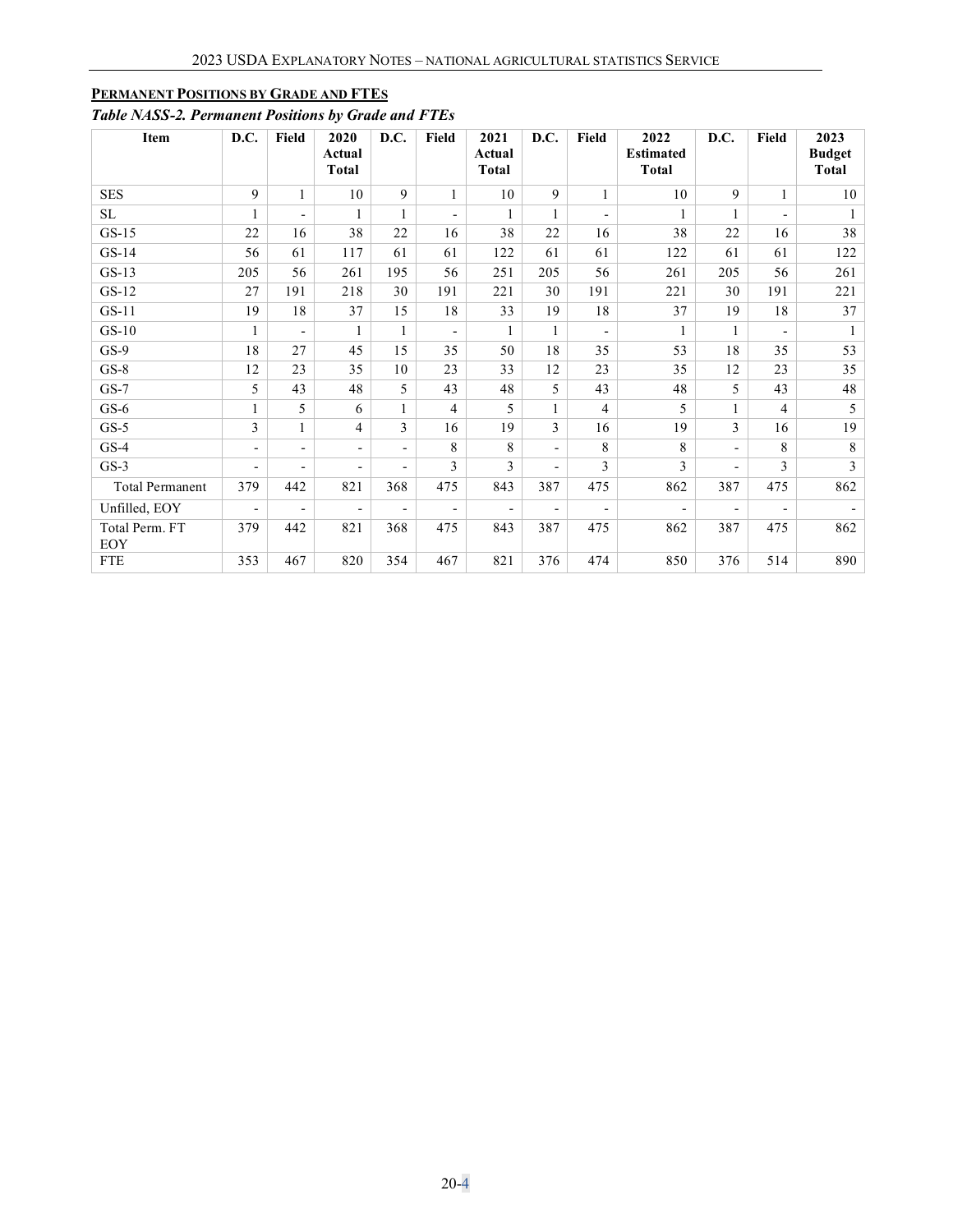### <span id="page-3-0"></span>**PERMANENT POSITIONS BY GRADE AND FTES**

## *Table NASS-2. Permanent Positions by Grade and FTEs*

| Item                   | D.C.                     | Field                    | 2020<br>Actual<br><b>Total</b> | D.C.                     | Field                    | 2021<br>Actual<br>Total  | D.C.                     | Field                    | 2022<br><b>Estimated</b><br><b>Total</b> | D.C.                     | Field                    | 2023<br><b>Budget</b><br><b>Total</b> |
|------------------------|--------------------------|--------------------------|--------------------------------|--------------------------|--------------------------|--------------------------|--------------------------|--------------------------|------------------------------------------|--------------------------|--------------------------|---------------------------------------|
| <b>SES</b>             | 9                        | $\mathbf{1}$             | 10                             | 9                        | $\mathbf{1}$             | 10                       | 9                        | $\mathbf{1}$             | 10                                       | 9                        | $\mathbf{1}$             | 10                                    |
| SL                     | 1                        | $\overline{\phantom{a}}$ | $\mathbf{1}$                   | $\mathbf{1}$             | $\overline{\phantom{a}}$ | $\mathbf{1}$             | $\mathbf{1}$             |                          | $\mathbf{1}$                             | $\mathbf{1}$             | $\overline{\phantom{0}}$ | $\mathbf{1}$                          |
| $GS-15$                | 22                       | 16                       | 38                             | 22                       | 16                       | 38                       | 22                       | 16                       | 38                                       | 22                       | 16                       | 38                                    |
| $GS-14$                | 56                       | 61                       | 117                            | 61                       | 61                       | 122                      | 61                       | 61                       | 122                                      | 61                       | 61                       | 122                                   |
| $GS-13$                | 205                      | 56                       | 261                            | 195                      | 56                       | 251                      | 205                      | 56                       | 261                                      | 205                      | 56                       | 261                                   |
| $GS-12$                | 27                       | 191                      | 218                            | 30                       | 191                      | 221                      | 30                       | 191                      | 221                                      | 30                       | 191                      | 221                                   |
| $GS-11$                | 19                       | 18                       | 37                             | 15                       | 18                       | 33                       | 19                       | 18                       | 37                                       | 19                       | 18                       | 37                                    |
| $GS-10$                | $\mathbf{1}$             | $\overline{\phantom{a}}$ | 1                              | $\mathbf{1}$             | $\overline{\phantom{a}}$ | 1                        | 1                        | $\overline{\phantom{0}}$ | $\mathbf{1}$                             | $\mathbf{1}$             | $\overline{\phantom{a}}$ |                                       |
| $GS-9$                 | 18                       | 27                       | 45                             | 15                       | 35                       | 50                       | 18                       | 35                       | 53                                       | 18                       | 35                       | 53                                    |
| $GS-8$                 | 12                       | 23                       | 35                             | 10                       | 23                       | 33                       | 12                       | 23                       | 35                                       | 12                       | 23                       | 35                                    |
| $GS-7$                 | 5                        | 43                       | 48                             | 5                        | 43                       | 48                       | 5                        | 43                       | 48                                       | 5                        | 43                       | 48                                    |
| $GS-6$                 | $\mathbf{1}$             | 5                        | 6                              | $\mathbf{1}$             | $\overline{4}$           | 5                        |                          | 4                        | 5                                        | $\mathbf{1}$             | $\overline{4}$           | 5                                     |
| $GS-5$                 | $\overline{3}$           | $\mathbf{1}$             | 4                              | 3                        | 16                       | 19                       | 3                        | 16                       | 19                                       | $\overline{3}$           | 16                       | 19                                    |
| $GS-4$                 | $\overline{\phantom{a}}$ | $\overline{\phantom{a}}$ | $\overline{\phantom{a}}$       | $\overline{\phantom{a}}$ | 8                        | 8                        | $\overline{\phantom{0}}$ | 8                        | 8                                        | $\blacksquare$           | 8                        | 8                                     |
| $GS-3$                 | $\overline{\phantom{a}}$ | $\overline{\phantom{a}}$ | $\overline{\phantom{a}}$       | $\overline{\phantom{a}}$ | 3                        | $\mathbf{3}$             | $\overline{\phantom{0}}$ | $\mathcal{E}$            | 3                                        | $\blacksquare$           | $\mathcal{E}$            | 3                                     |
| <b>Total Permanent</b> | 379                      | 442                      | 821                            | 368                      | 475                      | 843                      | 387                      | 475                      | 862                                      | 387                      | 475                      | 862                                   |
| Unfilled, EOY          | $\overline{\phantom{a}}$ | $\overline{\phantom{a}}$ | $\overline{\phantom{a}}$       | $\overline{\phantom{a}}$ | $\overline{\phantom{a}}$ | $\overline{\phantom{a}}$ | $\overline{\phantom{a}}$ |                          | $\overline{\phantom{a}}$                 | $\overline{\phantom{a}}$ | $\overline{\phantom{a}}$ |                                       |
| Total Perm. FT<br>EOY  | 379                      | 442                      | 821                            | 368                      | 475                      | 843                      | 387                      | 475                      | 862                                      | 387                      | 475                      | 862                                   |
| <b>FTE</b>             | 353                      | 467                      | 820                            | 354                      | 467                      | 821                      | 376                      | 474                      | 850                                      | 376                      | 514                      | 890                                   |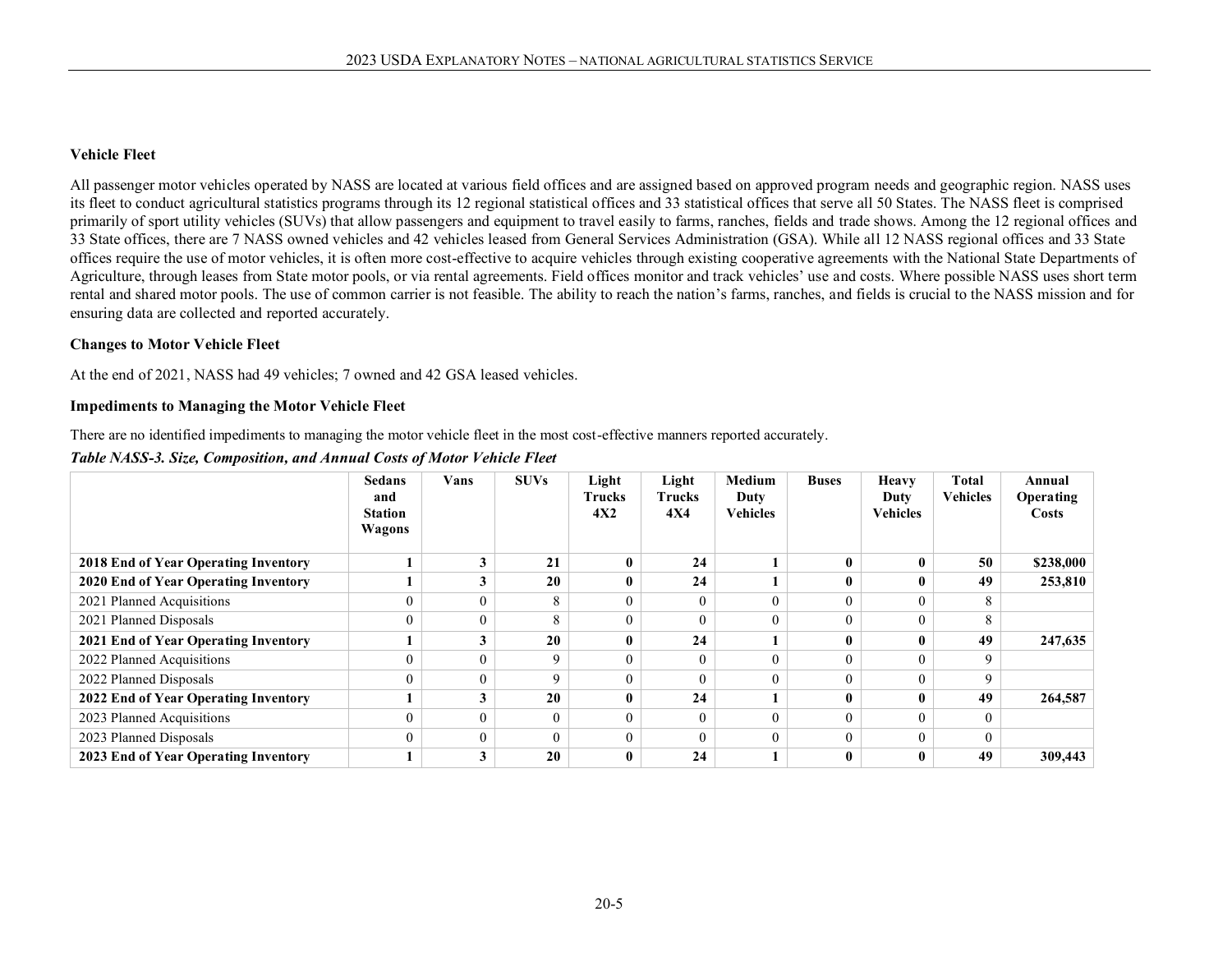#### **Vehicle Fleet**

All passenger motor vehicles operated by NASS are located at various field offices and are assigned based on approved program needs and geographic region. NASS uses its fleet to conduct agricultural statistics programs through its 12 regional statistical offices and 33 statistical offices that serve all 50 States. The NASS fleet is comprised primarily of sport utility vehicles (SUVs) that allow passengers and equipment to travel easily to farms, ranches, fields and trade shows. Among the 12 regional offices and 33 State offices, there are 7 NASS owned vehicles and 42 vehicles leased from General Services Administration (GSA). While all 12 NASS regional offices and 33 State offices require the use of motor vehicles, it is often more cost-effective to acquire vehicles through existing cooperative agreements with the National State Departments of Agriculture, through leases from State motor pools, or via rental agreements. Field offices monitor and track vehicles' use and costs. Where possible NASS uses short term rental and shared motor pools. The use of common carrier is not feasible. The ability to reach the nation's farms, ranches, and fields is crucial to the NASS mission and for ensuring data are collected and reported accurately.

#### **Changes to Motor Vehicle Fleet**

At the end of 2021, NASS had 49 vehicles; 7 owned and 42 GSA leased vehicles.

#### **Impediments to Managing the Motor Vehicle Fleet**

There are no identified impediments to managing the motor vehicle fleet in the most cost-effective manners reported accurately.

*Table NASS-3. Size, Composition, and Annual Costs of Motor Vehicle Fleet*

|                                      | <b>Sedans</b><br>and<br><b>Station</b><br>Wagons | Vans           | <b>SUVs</b> | Light<br><b>Trucks</b><br>4X2 | Light<br><b>Trucks</b><br>4X4 | Medium<br>Duty<br><b>Vehicles</b> | <b>Buses</b> | <b>Heavy</b><br>Duty<br><b>Vehicles</b> | Total<br><b>Vehicles</b> | Annual<br>Operating<br>Costs |
|--------------------------------------|--------------------------------------------------|----------------|-------------|-------------------------------|-------------------------------|-----------------------------------|--------------|-----------------------------------------|--------------------------|------------------------------|
| 2018 End of Year Operating Inventory |                                                  | 3              | 21          |                               | 24                            |                                   |              | $\bf{0}$                                | 50                       | \$238,000                    |
| 2020 End of Year Operating Inventory |                                                  | 3              | 20          | $\mathbf{0}$                  | 24                            |                                   |              | 0                                       | 49                       | 253,810                      |
| 2021 Planned Acquisitions            |                                                  | $\overline{0}$ | 8           |                               | $\overline{0}$                |                                   |              | $\Omega$                                | 8                        |                              |
| 2021 Planned Disposals               |                                                  | $\overline{0}$ | 8           |                               | $\overline{0}$                | 0                                 |              | $\overline{0}$                          | 8                        |                              |
| 2021 End of Year Operating Inventory |                                                  | 3              | 20          |                               | 24                            |                                   |              | $\mathbf{0}$                            | 49                       | 247,635                      |
| 2022 Planned Acquisitions            |                                                  | $\overline{0}$ | 9           |                               | $\overline{0}$                | 0                                 |              | $\Omega$                                | q                        |                              |
| 2022 Planned Disposals               |                                                  | $\Omega$       | Q           |                               | $\Omega$                      |                                   |              | $\theta$                                | q                        |                              |
| 2022 End of Year Operating Inventory |                                                  | 3              | 20          |                               | 24                            |                                   |              | $\bf{0}$                                | 49                       | 264,587                      |
| 2023 Planned Acquisitions            |                                                  | $\mathbf{0}$   | $\Omega$    |                               | $\overline{0}$                |                                   |              | $\Omega$                                |                          |                              |
| 2023 Planned Disposals               |                                                  | $\overline{0}$ | $\Omega$    |                               | $\overline{0}$                | 0                                 |              | $\overline{0}$                          |                          |                              |
| 2023 End of Year Operating Inventory |                                                  | 3              | 20          |                               | 24                            |                                   |              | $\bf{0}$                                | 49                       | 309,443                      |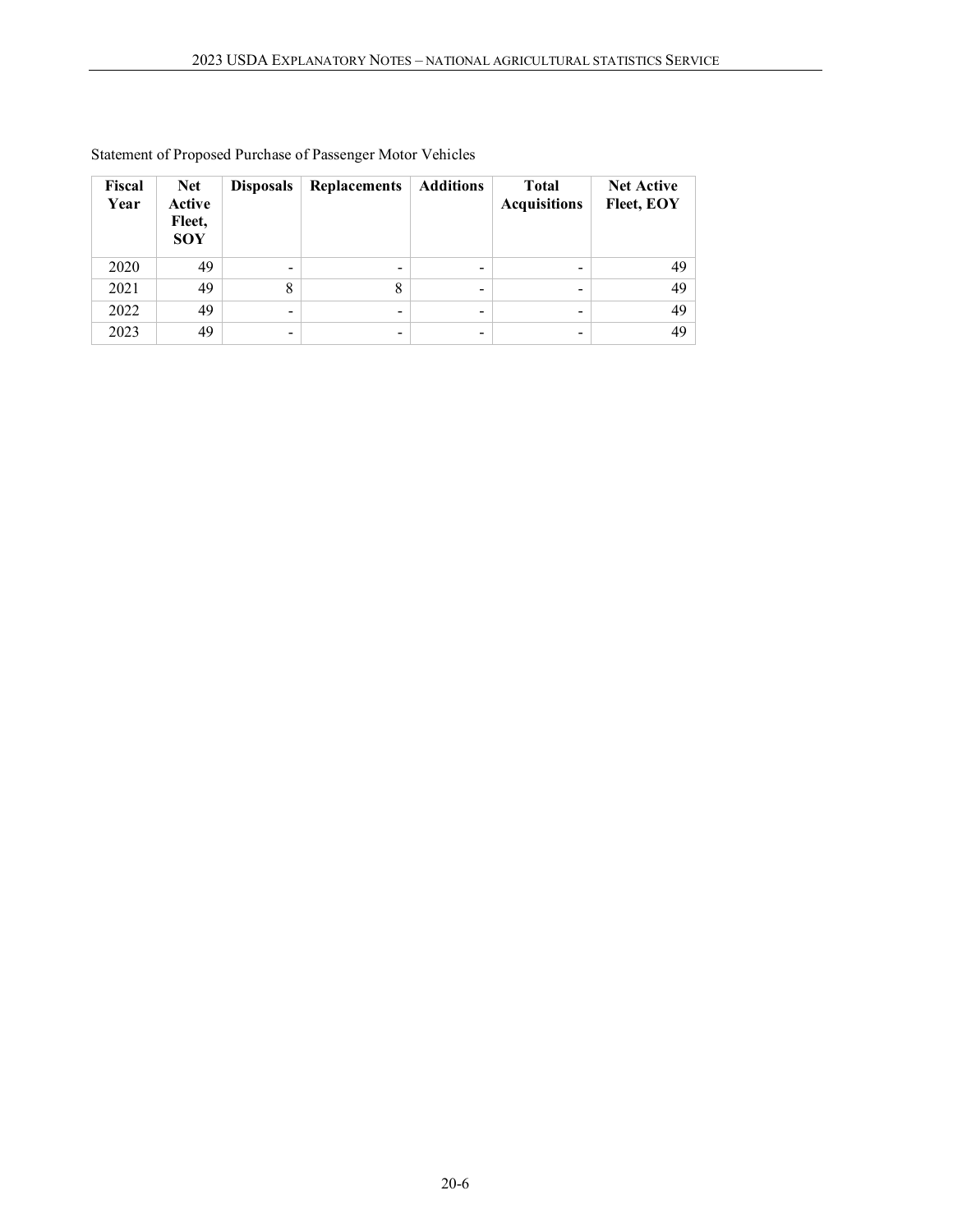| Fiscal<br>Year | <b>Net</b><br>Active<br>Fleet,<br><b>SOY</b> | <b>Disposals</b> | <b>Replacements</b>      | <b>Additions</b> | <b>Total</b><br><b>Acquisitions</b> | <b>Net Active</b><br>Fleet, EOY |
|----------------|----------------------------------------------|------------------|--------------------------|------------------|-------------------------------------|---------------------------------|
| 2020           | 49                                           | -                | $\overline{\phantom{a}}$ | $\qquad \qquad$  | $\qquad \qquad$                     | 49                              |
| 2021           | 49                                           | 8                | 8                        | $\qquad \qquad$  | ٠                                   | 49                              |
| 2022           | 49                                           | -                | $\overline{\phantom{a}}$ | $\qquad \qquad$  | -                                   | 49                              |
| 2023           | 49                                           | -                | -                        | -                |                                     | 49                              |

## Statement of Proposed Purchase of Passenger Motor Vehicles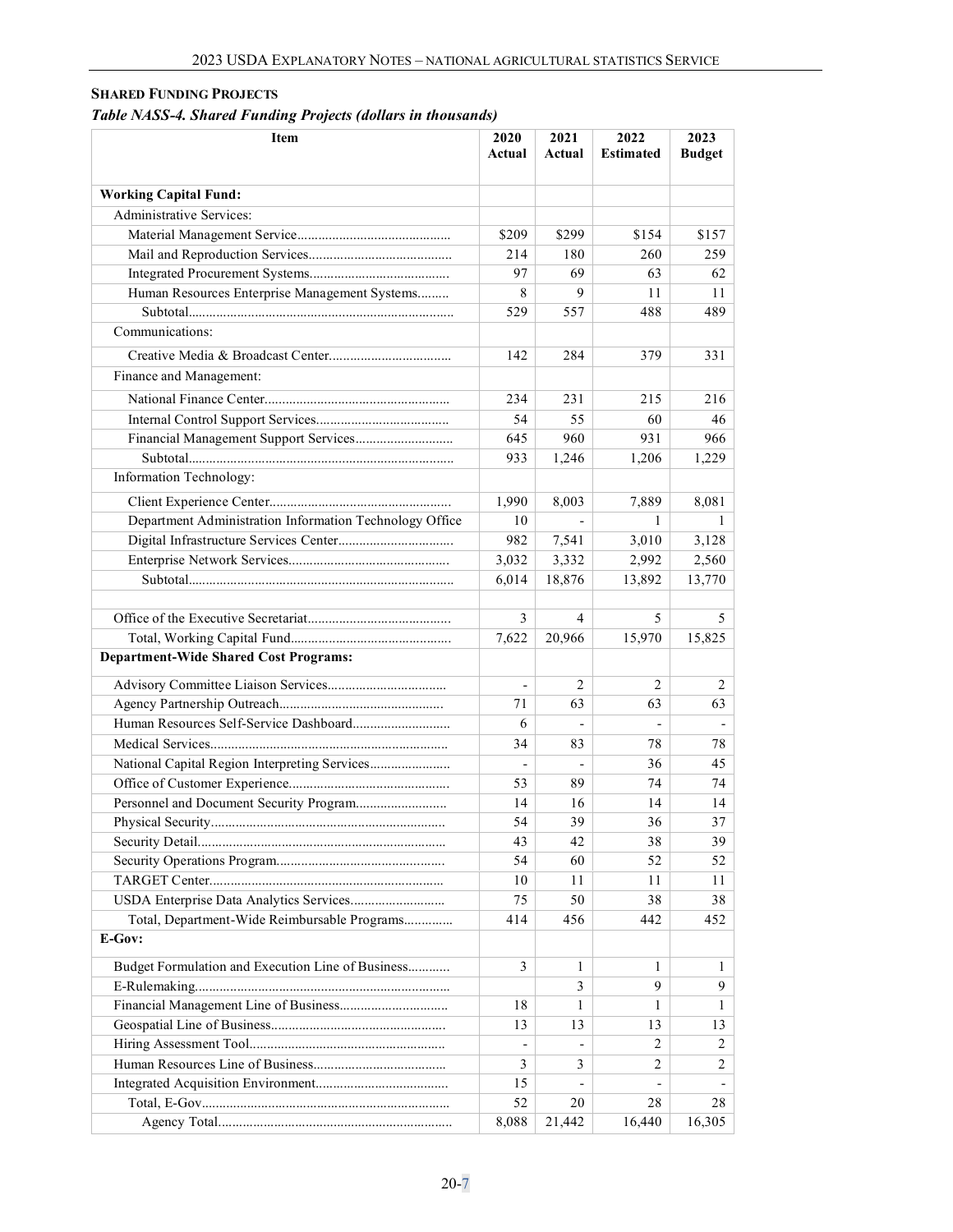## <span id="page-6-0"></span>**SHARED FUNDING PROJECTS**

## *Table NASS-4. Shared Funding Projects (dollars in thousands)*

| Item                                                    | 2020<br>Actual           | 2021<br>Actual | 2022<br><b>Estimated</b> | 2023<br><b>Budget</b> |
|---------------------------------------------------------|--------------------------|----------------|--------------------------|-----------------------|
| <b>Working Capital Fund:</b>                            |                          |                |                          |                       |
| Administrative Services:                                |                          |                |                          |                       |
|                                                         | \$209                    | \$299          | \$154                    | \$157                 |
|                                                         | 214                      | 180            | 260                      | 259                   |
|                                                         | 97                       | 69             | 63                       | 62                    |
| Human Resources Enterprise Management Systems           | 8                        | 9              | 11                       | 11                    |
|                                                         | 529                      | 557            | 488                      | 489                   |
| Communications:                                         |                          |                |                          |                       |
|                                                         |                          |                |                          |                       |
|                                                         | 142                      | 284            | 379                      | 331                   |
| Finance and Management:                                 |                          |                |                          |                       |
|                                                         | 234                      | 231            | 215                      | 216                   |
|                                                         | 54                       | 55             | 60                       | 46                    |
|                                                         | 645                      | 960            | 931                      | 966                   |
|                                                         | 933                      | 1,246          | 1,206                    | 1,229                 |
| Information Technology:                                 |                          |                |                          |                       |
|                                                         | 1,990                    | 8,003          | 7,889                    | 8,081                 |
| Department Administration Information Technology Office | 10                       |                | $\mathbf{1}$             | 1                     |
|                                                         | 982                      | 7,541          | 3,010                    | 3,128                 |
|                                                         | 3,032                    | 3,332          | 2,992                    | 2,560                 |
|                                                         | 6,014                    | 18,876         | 13,892                   | 13,770                |
|                                                         |                          |                |                          |                       |
|                                                         | 3                        | 4              | 5                        | 5                     |
|                                                         |                          | 20,966         | 15,970                   | 15,825                |
|                                                         | 7,622                    |                |                          |                       |
| <b>Department-Wide Shared Cost Programs:</b>            |                          |                |                          |                       |
|                                                         | $\overline{\phantom{0}}$ | 2              | 2                        | 2                     |
|                                                         | 71                       | 63             | 63                       | 63                    |
| Human Resources Self-Service Dashboard                  | 6                        |                | $\overline{\phantom{m}}$ |                       |
|                                                         | 34                       | 83             | 78                       | 78                    |
| National Capital Region Interpreting Services           |                          |                | 36                       | 45                    |
|                                                         | 53                       | 89             | 74                       | 74                    |
| Personnel and Document Security Program                 | 14                       | 16             | 14                       | 14                    |
|                                                         | 54                       | 39             | 36                       | 37                    |
|                                                         | 43                       | 42             | 38                       | 39                    |
|                                                         | 54                       | 60             | 52                       | 52                    |
|                                                         | 10                       | 11             | 11                       | 11                    |
|                                                         | 75                       | 50             | 38                       | 38                    |
| Total, Department-Wide Reimbursable Programs            | 414                      | 456            | 442                      | 452                   |
| E-Gov:                                                  |                          |                |                          |                       |
|                                                         |                          |                |                          |                       |
| Budget Formulation and Execution Line of Business       | 3                        | 1              | 1                        | 1                     |
|                                                         |                          | 3              | 9                        | 9                     |
|                                                         | 18                       | $\mathbf{1}$   | 1                        | $\mathbf{1}$          |
|                                                         | 13                       | 13             | 13                       | 13                    |
|                                                         |                          |                | 2                        | 2                     |
|                                                         | 3                        | 3              | 2                        | 2                     |
|                                                         | 15                       |                |                          |                       |
|                                                         | 52                       | 20             | 28                       | 28                    |
|                                                         | 8,088                    | 21,442         | 16,440                   | 16,305                |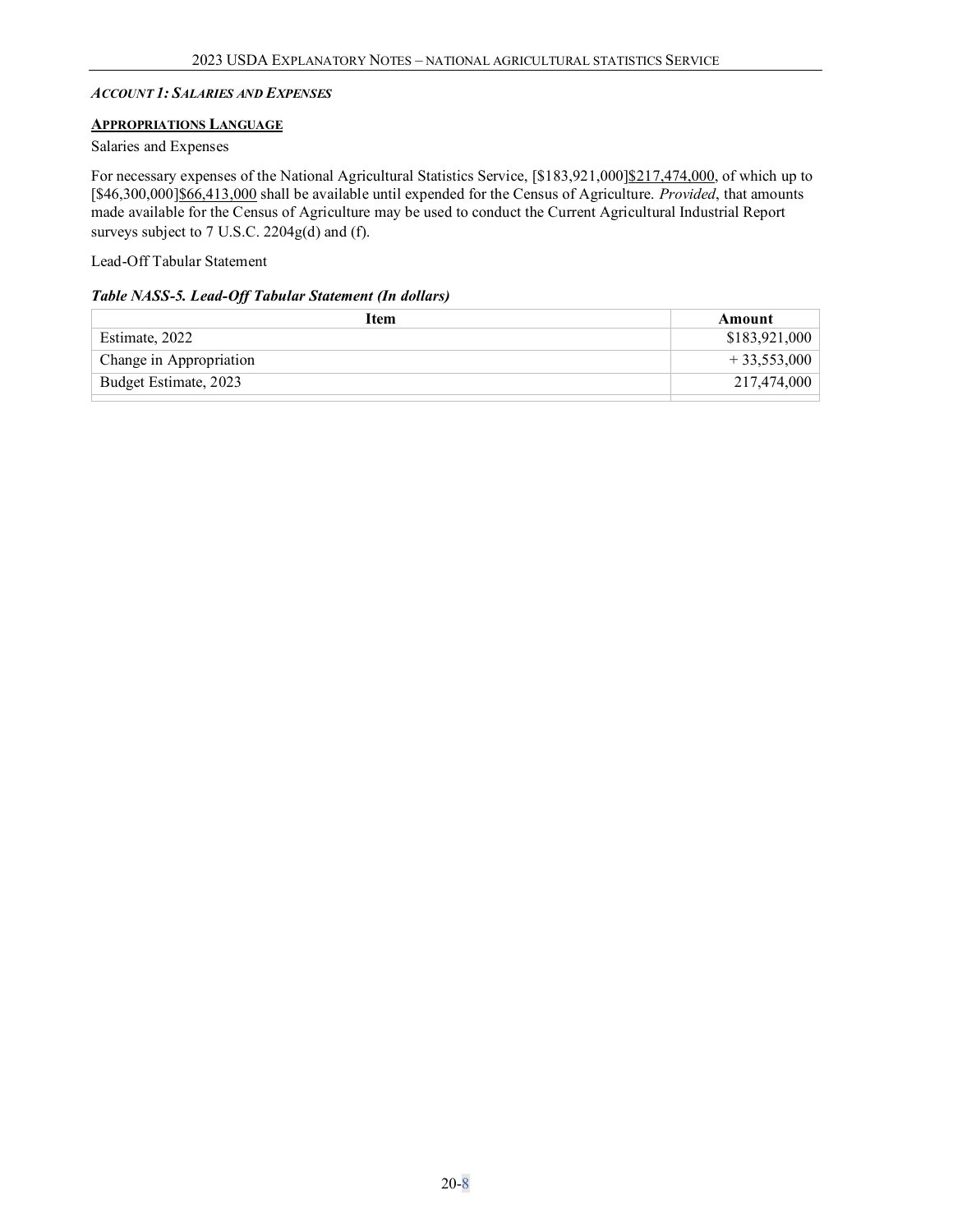#### <span id="page-7-0"></span>*ACCOUNT 1: SALARIES AND EXPENSES*

#### <span id="page-7-1"></span>**APPROPRIATIONS LANGUAGE**

#### Salaries and Expenses

For necessary expenses of the National Agricultural Statistics Service, [\$183,921,000]\$217,474,000, of which up to [\$46,300,000]\$66,413,000 shall be available until expended for the Census of Agriculture. *Provided*, that amounts made available for the Census of Agriculture may be used to conduct the Current Agricultural Industrial Report surveys subject to 7 U.S.C. 2204g(d) and (f).

Lead-Off Tabular Statement

#### *Table NASS-5. Lead-Off Tabular Statement (In dollars)*

| Item                    | Amount        |
|-------------------------|---------------|
| Estimate, 2022          | \$183,921,000 |
| Change in Appropriation | $+33,553,000$ |
| Budget Estimate, 2023   | 217,474,000   |
|                         |               |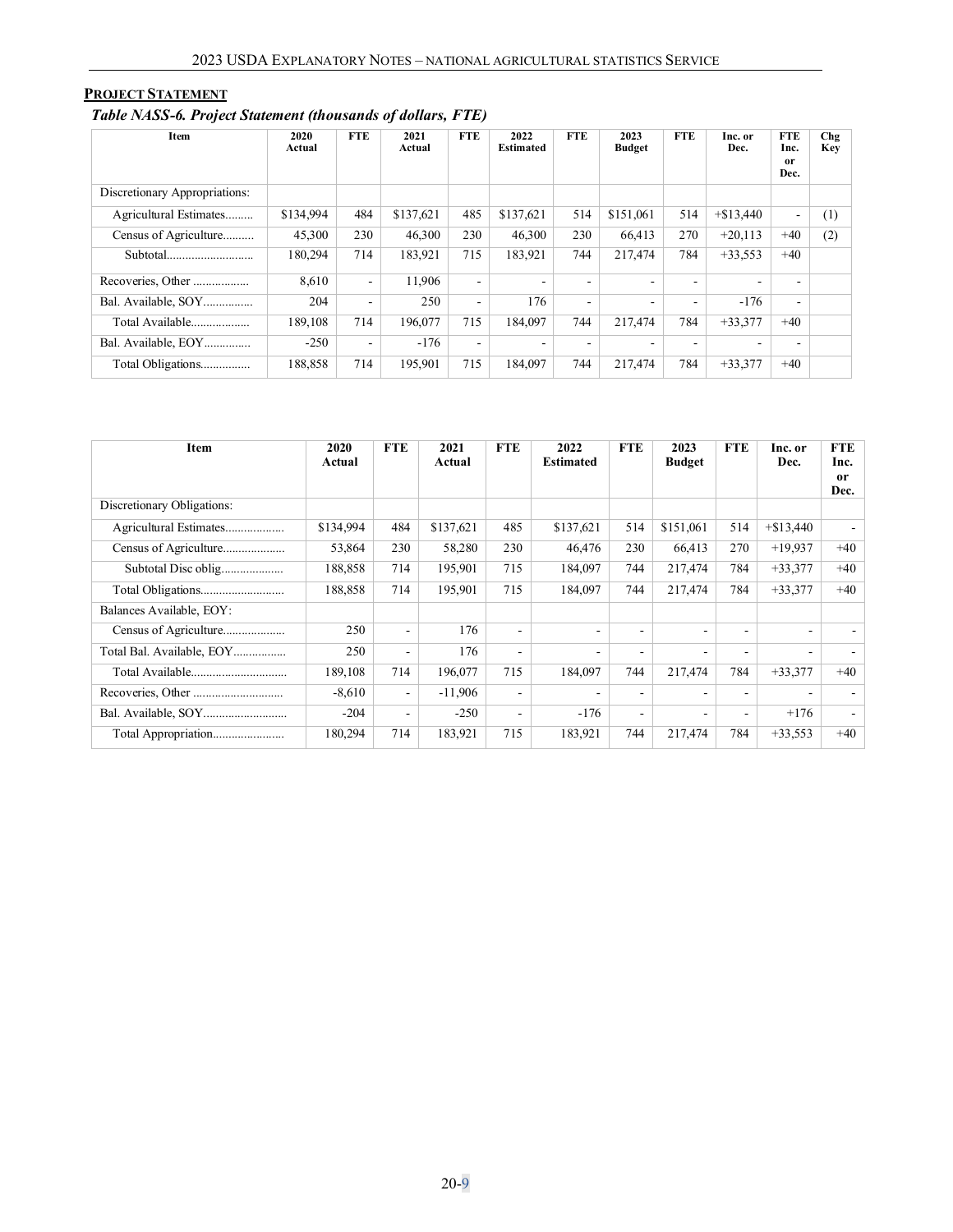### <span id="page-8-0"></span>**PROJECT STATEMENT**

## *Table NASS-6. Project Statement (thousands of dollars, FTE)*

| Item                          | 2020<br>Actual | <b>FTE</b>               | 2021<br>Actual | <b>FTE</b>               | 2022<br><b>Estimated</b> | <b>FTE</b> | 2023<br><b>Budget</b>    | FTE | Inc. or<br>Dec. | <b>FTE</b><br>Inc.<br>or<br>Dec. | Chg<br>Key |
|-------------------------------|----------------|--------------------------|----------------|--------------------------|--------------------------|------------|--------------------------|-----|-----------------|----------------------------------|------------|
| Discretionary Appropriations: |                |                          |                |                          |                          |            |                          |     |                 |                                  |            |
| Agricultural Estimates        | \$134,994      | 484                      | \$137.621      | 485                      | \$137,621                | 514        | \$151,061                | 514 | $+\$13,440$     | ٠                                | (1)        |
| Census of Agriculture         | 45,300         | 230                      | 46,300         | 230                      | 46,300                   | 230        | 66.413                   | 270 | $+20,113$       | $+40$                            | (2)        |
| Subtotal                      | 180,294        | 714                      | 183,921        | 715                      | 183,921                  | 744        | 217,474                  | 784 | $+33,553$       | $+40$                            |            |
| Recoveries, Other             | 8.610          | $\sim$                   | 11.906         | $\sim$                   | $\overline{\phantom{a}}$ |            | ۰                        | ۰   |                 |                                  |            |
| Bal. Available, SOY           | 204            | $\overline{\phantom{a}}$ | 250            | $\sim$                   | 176                      | ٠          | $\overline{\phantom{0}}$ | ٠   | $-176$          | $\overline{\phantom{a}}$         |            |
| Total Available               | 189,108        | 714                      | 196,077        | 715                      | 184,097                  | 744        | 217,474                  | 784 | $+33.377$       | $+40$                            |            |
| Bal. Available, EOY           | $-250$         | $\sim$                   | $-176$         | $\overline{\phantom{a}}$ | ٠                        |            |                          |     |                 |                                  |            |
| Total Obligations             | 188,858        | 714                      | 195,901        | 715                      | 184,097                  | 744        | 217,474                  | 784 | $+33,377$       | $+40$                            |            |

| <b>Item</b>                | 2020<br>Actual | <b>FTE</b>               | 2021<br>Actual | <b>FTE</b>               | 2022<br><b>Estimated</b> | <b>FTE</b>               | 2023<br><b>Budget</b> | <b>FTE</b> | Inc. or<br>Dec.          | <b>FTE</b><br>Inc.<br>or<br>Dec. |
|----------------------------|----------------|--------------------------|----------------|--------------------------|--------------------------|--------------------------|-----------------------|------------|--------------------------|----------------------------------|
| Discretionary Obligations: |                |                          |                |                          |                          |                          |                       |            |                          |                                  |
| Agricultural Estimates     | \$134,994      | 484                      | \$137,621      | 485                      | \$137,621                | 514                      | \$151,061             | 514        | $+\$13,440$              |                                  |
| Census of Agriculture      | 53,864         | 230                      | 58,280         | 230                      | 46,476                   | 230                      | 66,413                | 270        | $+19.937$                | $+40$                            |
| Subtotal Disc oblig        | 188,858        | 714                      | 195,901        | 715                      | 184,097                  | 744                      | 217,474               | 784        | $+33,377$                | $+40$                            |
| Total Obligations          | 188,858        | 714                      | 195,901        | 715                      | 184,097                  | 744                      | 217,474               | 784        | $+33,377$                | $+40$                            |
| Balances Available, EOY:   |                |                          |                |                          |                          |                          |                       |            |                          |                                  |
| Census of Agriculture      | 250            | $\overline{\phantom{a}}$ | 176            | ۰                        | ٠                        | ۰                        | ٠                     | ۰          | ٠                        |                                  |
| Total Bal. Available, EOY  | 250            | $\overline{\phantom{a}}$ | 176            | ٠                        | $\overline{\phantom{a}}$ | ٠                        | ٠                     | ٠          | $\overline{\phantom{a}}$ |                                  |
| Total Available            | 189,108        | 714                      | 196,077        | 715                      | 184,097                  | 744                      | 217,474               | 784        | $+33,377$                | $+40$                            |
|                            | $-8,610$       | $\blacksquare$           | $-11,906$      | $\overline{\phantom{0}}$ | $\overline{\phantom{a}}$ | $\overline{\phantom{a}}$ | ٠                     | ٠          | ۰                        |                                  |
|                            | $-204$         | $\overline{\phantom{a}}$ | $-250$         | ٠                        | $-176$                   | $\overline{\phantom{a}}$ | ٠                     | ٠          | $+176$                   |                                  |
| Total Appropriation        | 180,294        | 714                      | 183,921        | 715                      | 183,921                  | 744                      | 217,474               | 784        | $+33,553$                | $+40$                            |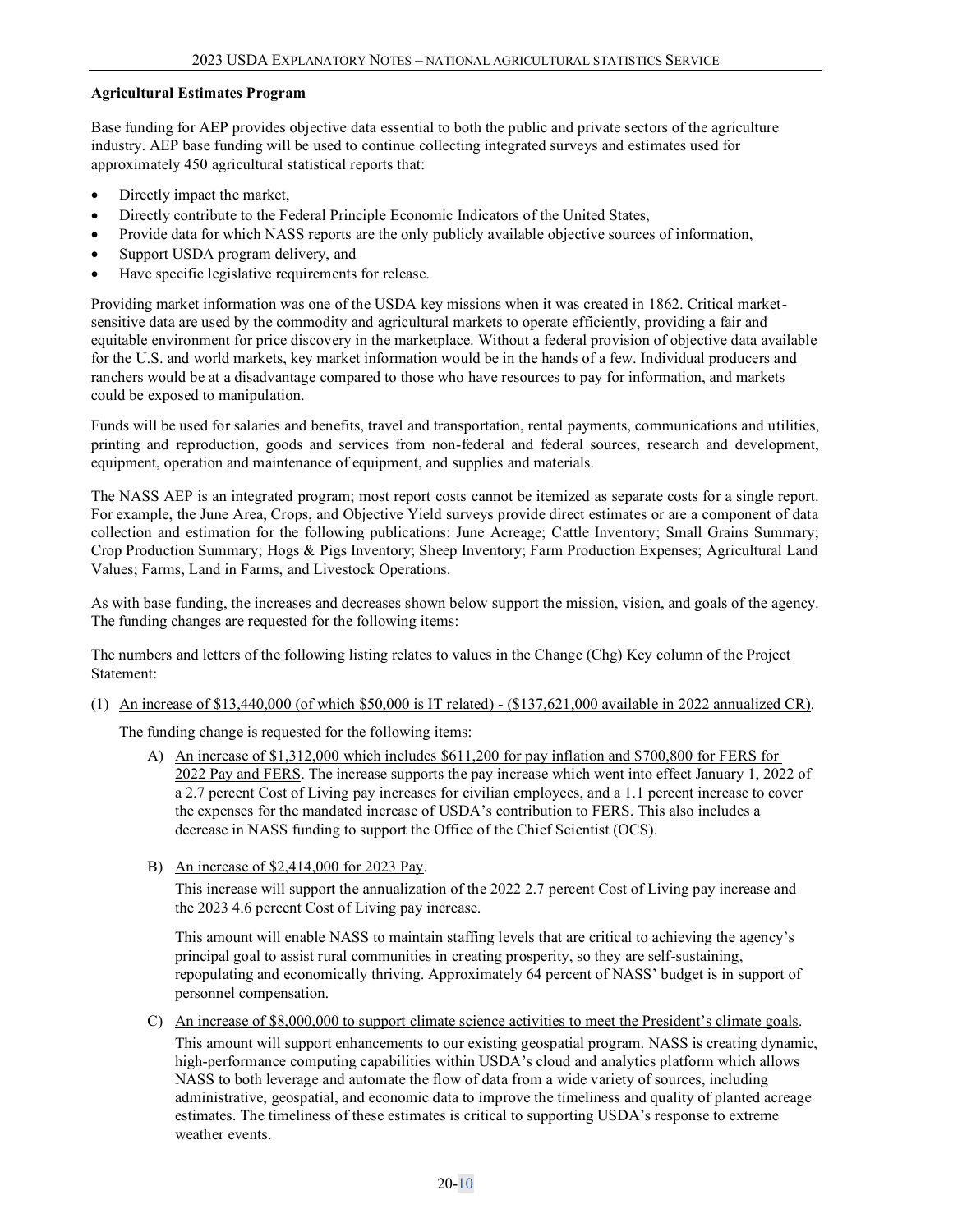#### **Agricultural Estimates Program**

Base funding for AEP provides objective data essential to both the public and private sectors of the agriculture industry. AEP base funding will be used to continue collecting integrated surveys and estimates used for approximately 450 agricultural statistical reports that:

- Directly impact the market,
- Directly contribute to the Federal Principle Economic Indicators of the United States,
- Provide data for which NASS reports are the only publicly available objective sources of information,
- Support USDA program delivery, and
- Have specific legislative requirements for release.

Providing market information was one of the USDA key missions when it was created in 1862. Critical marketsensitive data are used by the commodity and agricultural markets to operate efficiently, providing a fair and equitable environment for price discovery in the marketplace. Without a federal provision of objective data available for the U.S. and world markets, key market information would be in the hands of a few. Individual producers and ranchers would be at a disadvantage compared to those who have resources to pay for information, and markets could be exposed to manipulation.

Funds will be used for salaries and benefits, travel and transportation, rental payments, communications and utilities, printing and reproduction, goods and services from non-federal and federal sources, research and development, equipment, operation and maintenance of equipment, and supplies and materials.

The NASS AEP is an integrated program; most report costs cannot be itemized as separate costs for a single report. For example, the June Area, Crops, and Objective Yield surveys provide direct estimates or are a component of data collection and estimation for the following publications: June Acreage; Cattle Inventory; Small Grains Summary; Crop Production Summary; Hogs & Pigs Inventory; Sheep Inventory; Farm Production Expenses; Agricultural Land Values; Farms, Land in Farms, and Livestock Operations.

As with base funding, the increases and decreases shown below support the mission, vision, and goals of the agency. The funding changes are requested for the following items:

The numbers and letters of the following listing relates to values in the Change (Chg) Key column of the Project Statement:

(1) An increase of \$13,440,000 (of which \$50,000 is IT related) - (\$137,621,000 available in 2022 annualized CR).

The funding change is requested for the following items:

- A) An increase of \$1,312,000 which includes \$611,200 for pay inflation and \$700,800 for FERS for 2022 Pay and FERS. The increase supports the pay increase which went into effect January 1, 2022 of a 2.7 percent Cost of Living pay increases for civilian employees, and a 1.1 percent increase to cover the expenses for the mandated increase of USDA's contribution to FERS. This also includes a decrease in NASS funding to support the Office of the Chief Scientist (OCS).
- B) An increase of \$2,414,000 for 2023 Pay.

This increase will support the annualization of the 2022 2.7 percent Cost of Living pay increase and the 2023 4.6 percent Cost of Living pay increase.

This amount will enable NASS to maintain staffing levels that are critical to achieving the agency's principal goal to assist rural communities in creating prosperity, so they are self-sustaining, repopulating and economically thriving. Approximately 64 percent of NASS' budget is in support of personnel compensation.

C) An increase of \$8,000,000 to support climate science activities to meet the President's climate goals. This amount will support enhancements to our existing geospatial program. NASS is creating dynamic, high-performance computing capabilities within USDA's cloud and analytics platform which allows NASS to both leverage and automate the flow of data from a wide variety of sources, including administrative, geospatial, and economic data to improve the timeliness and quality of planted acreage estimates. The timeliness of these estimates is critical to supporting USDA's response to extreme weather events.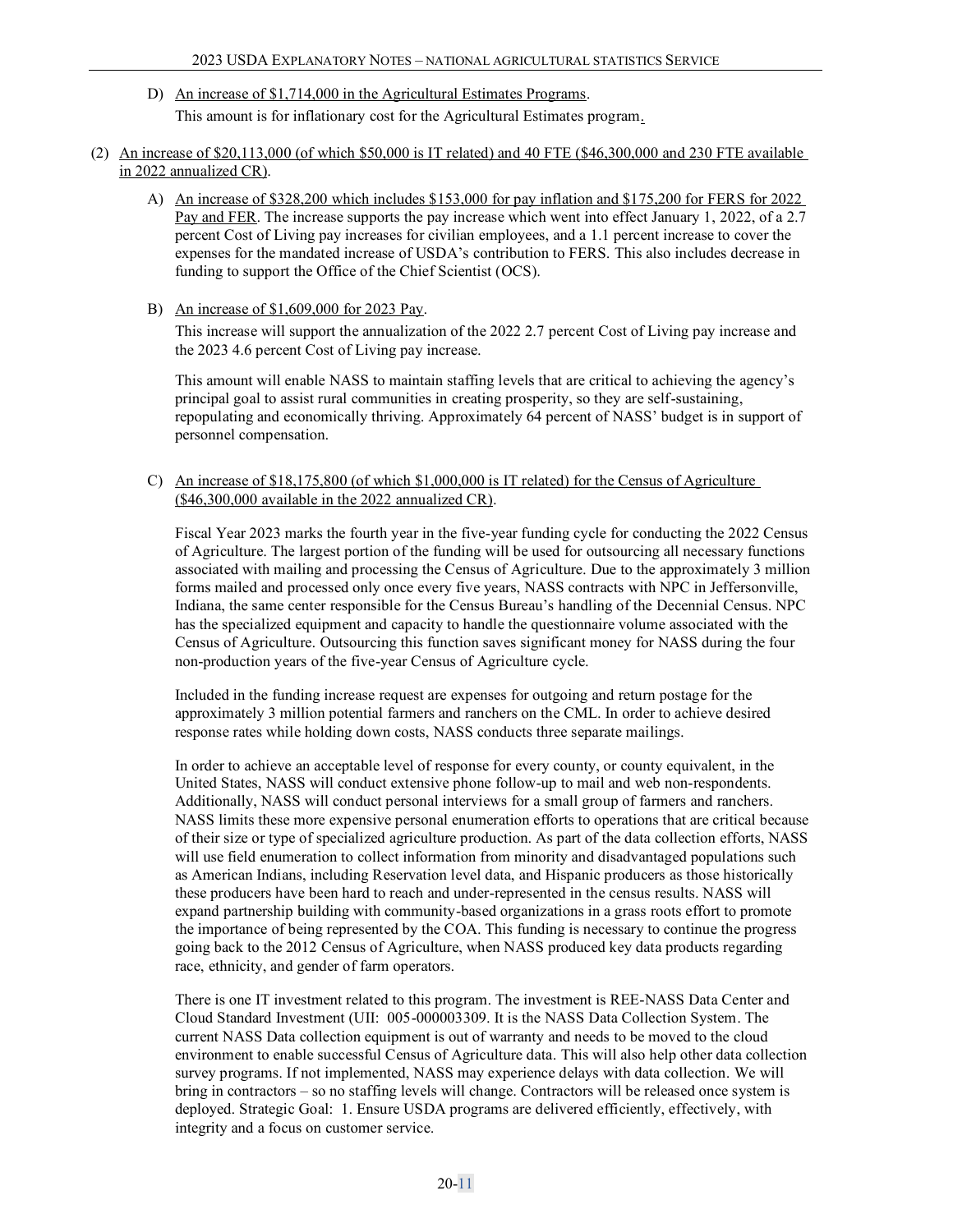- D) An increase of \$1,714,000 in the Agricultural Estimates Programs. This amount is for inflationary cost for the Agricultural Estimates program.
- (2) An increase of \$20,113,000 (of which \$50,000 is IT related) and 40 FTE (\$46,300,000 and 230 FTE available in 2022 annualized CR).
	- A) An increase of \$328,200 which includes \$153,000 for pay inflation and \$175,200 for FERS for 2022 Pay and FER. The increase supports the pay increase which went into effect January 1, 2022, of a 2.7 percent Cost of Living pay increases for civilian employees, and a 1.1 percent increase to cover the expenses for the mandated increase of USDA's contribution to FERS. This also includes decrease in funding to support the Office of the Chief Scientist (OCS).
	- B) An increase of \$1,609,000 for 2023 Pay.

This increase will support the annualization of the 2022 2.7 percent Cost of Living pay increase and the 2023 4.6 percent Cost of Living pay increase.

This amount will enable NASS to maintain staffing levels that are critical to achieving the agency's principal goal to assist rural communities in creating prosperity, so they are self-sustaining, repopulating and economically thriving. Approximately 64 percent of NASS' budget is in support of personnel compensation.

C) An increase of \$18,175,800 (of which \$1,000,000 is IT related) for the Census of Agriculture (\$46,300,000 available in the 2022 annualized CR).

Fiscal Year 2023 marks the fourth year in the five-year funding cycle for conducting the 2022 Census of Agriculture. The largest portion of the funding will be used for outsourcing all necessary functions associated with mailing and processing the Census of Agriculture. Due to the approximately 3 million forms mailed and processed only once every five years, NASS contracts with NPC in Jeffersonville, Indiana, the same center responsible for the Census Bureau's handling of the Decennial Census. NPC has the specialized equipment and capacity to handle the questionnaire volume associated with the Census of Agriculture. Outsourcing this function saves significant money for NASS during the four non-production years of the five-year Census of Agriculture cycle.

Included in the funding increase request are expenses for outgoing and return postage for the approximately 3 million potential farmers and ranchers on the CML. In order to achieve desired response rates while holding down costs, NASS conducts three separate mailings.

In order to achieve an acceptable level of response for every county, or county equivalent, in the United States, NASS will conduct extensive phone follow-up to mail and web non-respondents. Additionally, NASS will conduct personal interviews for a small group of farmers and ranchers. NASS limits these more expensive personal enumeration efforts to operations that are critical because of their size or type of specialized agriculture production. As part of the data collection efforts, NASS will use field enumeration to collect information from minority and disadvantaged populations such as American Indians, including Reservation level data, and Hispanic producers as those historically these producers have been hard to reach and under-represented in the census results. NASS will expand partnership building with community-based organizations in a grass roots effort to promote the importance of being represented by the COA. This funding is necessary to continue the progress going back to the 2012 Census of Agriculture, when NASS produced key data products regarding race, ethnicity, and gender of farm operators.

There is one IT investment related to this program. The investment is REE-NASS Data Center and Cloud Standard Investment (UII: 005-000003309. It is the NASS Data Collection System. The current NASS Data collection equipment is out of warranty and needs to be moved to the cloud environment to enable successful Census of Agriculture data. This will also help other data collection survey programs. If not implemented, NASS may experience delays with data collection. We will bring in contractors – so no staffing levels will change. Contractors will be released once system is deployed. Strategic Goal: 1. Ensure USDA programs are delivered efficiently, effectively, with integrity and a focus on customer service.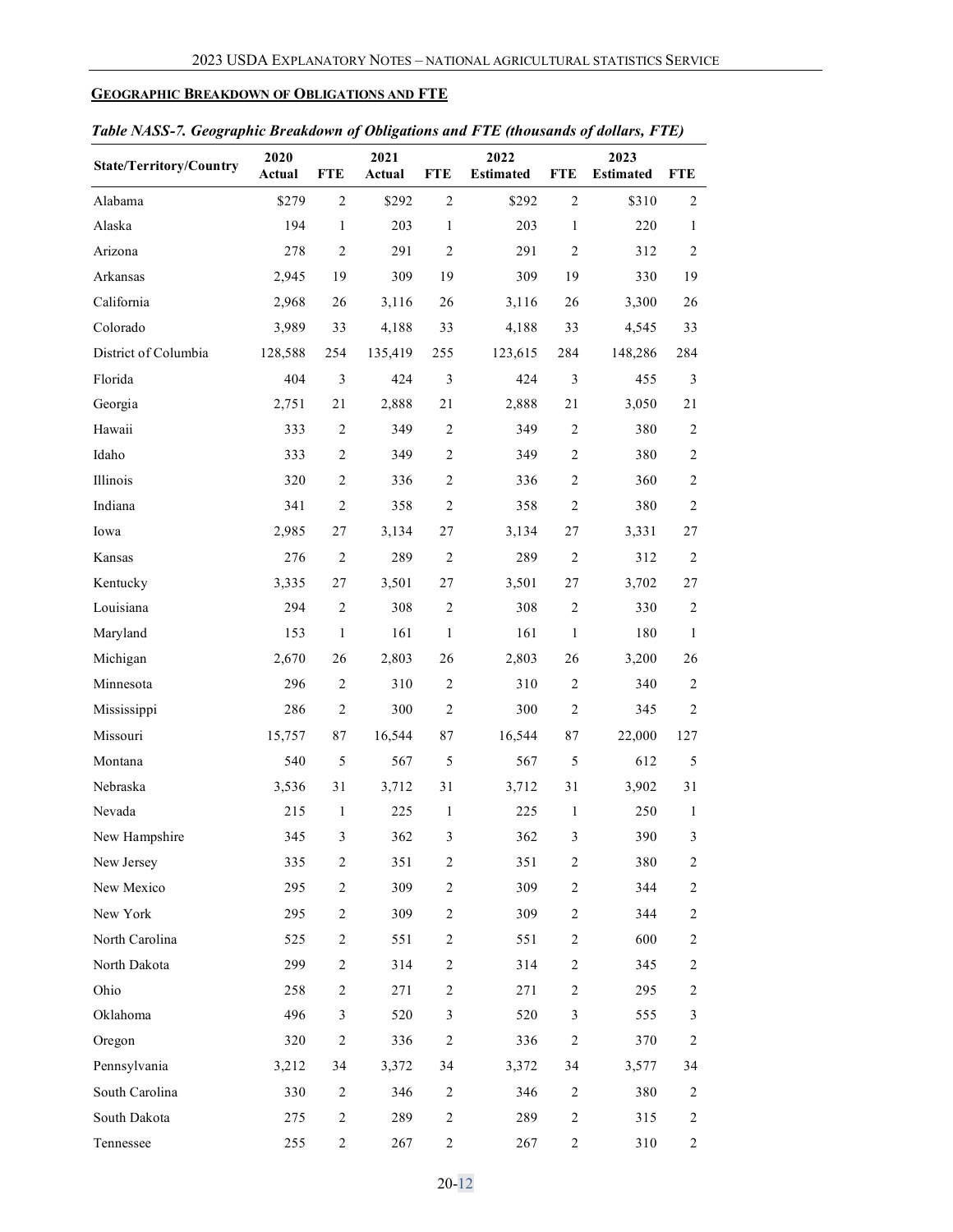### <span id="page-11-0"></span>**GEOGRAPHIC BREAKDOWN OF OBLIGATIONS AND FTE**

| ruote 19155-7. Geographic Dreamaown of Obligations and 1 TD (invasantas of |                |                |                |                |                          |                | $u$ <sup><math>\theta</math></sup> $u$ $\theta$ $u$ $\theta$ $l$ $l$ $l$ $l$ $l$ $l$ |                |
|----------------------------------------------------------------------------|----------------|----------------|----------------|----------------|--------------------------|----------------|--------------------------------------------------------------------------------------|----------------|
| <b>State/Territory/Country</b>                                             | 2020<br>Actual | <b>FTE</b>     | 2021<br>Actual | <b>FTE</b>     | 2022<br><b>Estimated</b> | <b>FTE</b>     | 2023<br><b>Estimated</b>                                                             | <b>FTE</b>     |
| Alabama                                                                    | \$279          | $\overline{c}$ | \$292          | $\mathfrak{2}$ | \$292                    | $\overline{2}$ | \$310                                                                                | 2              |
| Alaska                                                                     | 194            | $\mathbf{1}$   | 203            | $\mathbf{1}$   | 203                      | $\mathbf{1}$   | 220                                                                                  | 1              |
| Arizona                                                                    | 278            | $\overline{c}$ | 291            | $\mathfrak{2}$ | 291                      | $\overline{2}$ | 312                                                                                  | 2              |
| Arkansas                                                                   | 2,945          | 19             | 309            | 19             | 309                      | 19             | 330                                                                                  | 19             |
| California                                                                 | 2,968          | 26             | 3,116          | 26             | 3,116                    | 26             | 3,300                                                                                | 26             |
| Colorado                                                                   | 3,989          | 33             | 4,188          | 33             | 4,188                    | 33             | 4,545                                                                                | 33             |
| District of Columbia                                                       | 128,588        | 254            | 135,419        | 255            | 123,615                  | 284            | 148,286                                                                              | 284            |
| Florida                                                                    | 404            | 3              | 424            | 3              | 424                      | $\mathfrak{Z}$ | 455                                                                                  | 3              |
| Georgia                                                                    | 2,751          | 21             | 2,888          | 21             | 2,888                    | 21             | 3,050                                                                                | 21             |
| Hawaii                                                                     | 333            | 2              | 349            | $\overline{2}$ | 349                      | 2              | 380                                                                                  | 2              |
| Idaho                                                                      | 333            | $\overline{c}$ | 349            | $\mathfrak{2}$ | 349                      | $\overline{2}$ | 380                                                                                  | $\overline{c}$ |
| Illinois                                                                   | 320            | $\overline{c}$ | 336            | $\mathfrak{2}$ | 336                      | $\overline{2}$ | 360                                                                                  | $\overline{c}$ |
| Indiana                                                                    | 341            | $\overline{c}$ | 358            | $\overline{2}$ | 358                      | $\overline{2}$ | 380                                                                                  | 2              |
| Iowa                                                                       | 2,985          | 27             | 3,134          | 27             | 3,134                    | 27             | 3,331                                                                                | 27             |
| Kansas                                                                     | 276            | $\mathbf{2}$   | 289            | $\overline{2}$ | 289                      | $\overline{2}$ | 312                                                                                  | 2              |
| Kentucky                                                                   | 3,335          | 27             | 3,501          | 27             | 3,501                    | 27             | 3,702                                                                                | 27             |
| Louisiana                                                                  | 294            | $\sqrt{2}$     | 308            | $\overline{2}$ | 308                      | $\sqrt{2}$     | 330                                                                                  | $\overline{c}$ |
| Maryland                                                                   | 153            | $\mathbf{1}$   | 161            | $\mathbf{1}$   | 161                      | $\mathbf{1}$   | 180                                                                                  | 1              |
| Michigan                                                                   | 2,670          | 26             | 2,803          | 26             | 2,803                    | 26             | 3,200                                                                                | 26             |
| Minnesota                                                                  | 296            | $\sqrt{2}$     | 310            | $\overline{2}$ | 310                      | $\overline{2}$ | 340                                                                                  | 2              |
| Mississippi                                                                | 286            | $\sqrt{2}$     | 300            | $\sqrt{2}$     | 300                      | $\overline{2}$ | 345                                                                                  | $\overline{c}$ |
| Missouri                                                                   | 15,757         | 87             | 16,544         | 87             | 16,544                   | 87             | 22,000                                                                               | 127            |
| Montana                                                                    | 540            | 5              | 567            | 5              | 567                      | $\sqrt{5}$     | 612                                                                                  | 5              |
| Nebraska                                                                   | 3,536          | 31             | 3,712          | 31             | 3,712                    | 31             | 3,902                                                                                | 31             |
| Nevada                                                                     | 215            | $\mathbf{1}$   | 225            | $\mathbf{1}$   | 225                      | $\mathbf{1}$   | 250                                                                                  | $\mathbf{1}$   |
| New Hampshire                                                              | 345            | 3              | 362            | 3              | 362                      | 3              | 390                                                                                  | 3              |
| New Jersey                                                                 | 335            | $\overline{c}$ | 351            | 2              | 351                      | $\overline{2}$ | 380                                                                                  | 2              |
| New Mexico                                                                 | 295            | $\overline{c}$ | 309            | 2              | 309                      | $\overline{c}$ | 344                                                                                  | 2              |
| New York                                                                   | 295            | $\overline{2}$ | 309            | 2              | 309                      | 2              | 344                                                                                  | 2              |
| North Carolina                                                             | 525            | $\overline{c}$ | 551            | 2              | 551                      | $\overline{2}$ | 600                                                                                  | 2              |
| North Dakota                                                               | 299            | $\overline{c}$ | 314            | $\overline{2}$ | 314                      | 2              | 345                                                                                  | 2              |
| Ohio                                                                       | 258            | $\overline{c}$ | 271            | 2              | 271                      | 2              | 295                                                                                  | 2              |
| Oklahoma                                                                   | 496            | 3              | 520            | 3              | 520                      | 3              | 555                                                                                  | 3              |
| Oregon                                                                     | 320            | $\overline{c}$ | 336            | $\sqrt{2}$     | 336                      | $\overline{2}$ | 370                                                                                  | $\overline{c}$ |
| Pennsylvania                                                               | 3,212          | 34             | 3,372          | 34             | 3,372                    | 34             | 3,577                                                                                | 34             |
| South Carolina                                                             | 330            | $\overline{c}$ | 346            | $\overline{c}$ | 346                      | $\overline{2}$ | 380                                                                                  | 2              |
| South Dakota                                                               | 275            | $\sqrt{2}$     | 289            | $\sqrt{2}$     | 289                      | $\overline{c}$ | 315                                                                                  | $\overline{c}$ |
| Tennessee                                                                  | 255            | $\overline{c}$ | 267            | 2              | 267                      | $\overline{c}$ | 310                                                                                  | $\overline{c}$ |

## *Table NASS-7. Geographic Breakdown of Obligations and FTE (thousands of dollars, FTE)*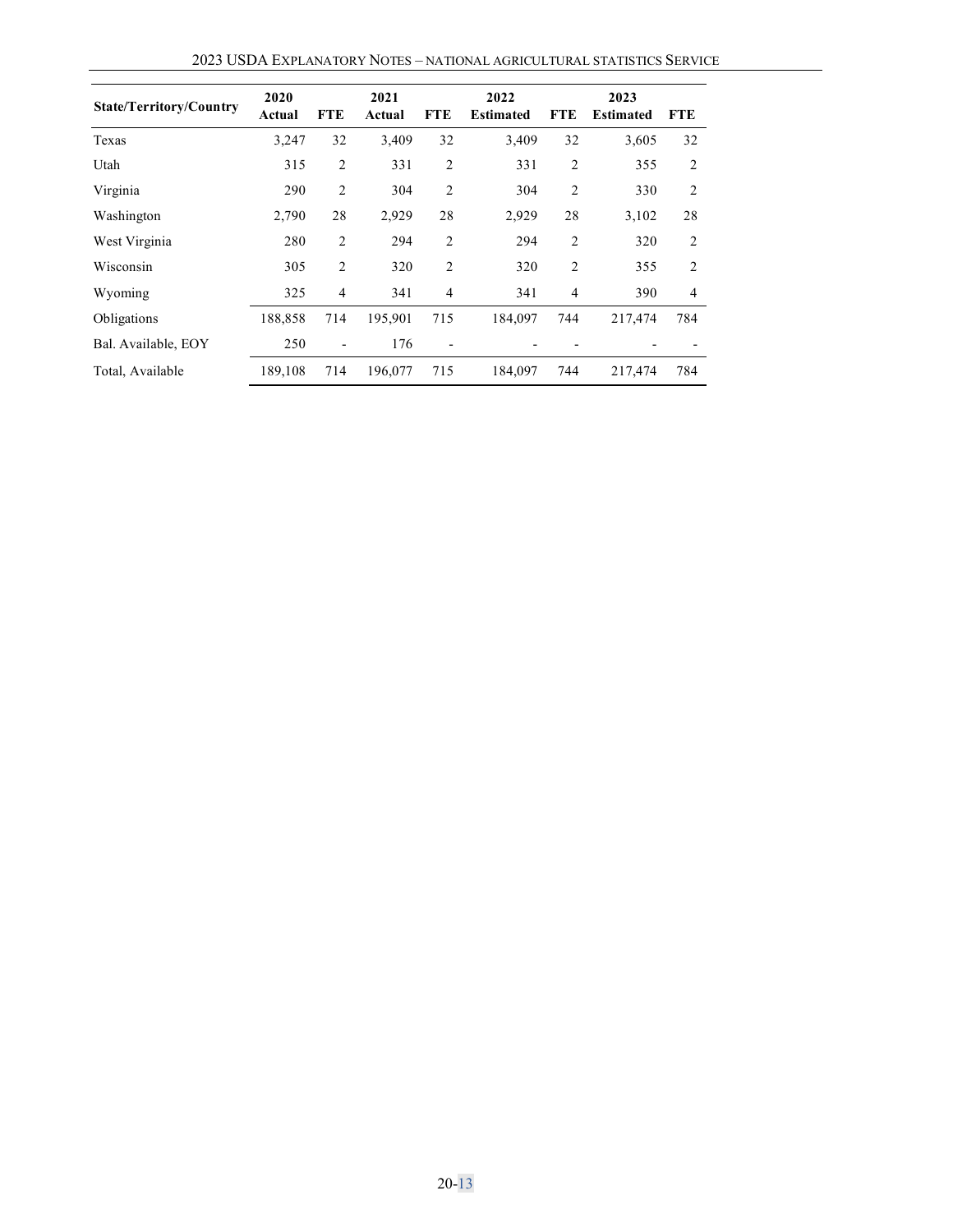| <b>State/Territory/Country</b> | 2020<br>Actual | <b>FTE</b>     | 2021<br>Actual | <b>FTE</b>     | 2022<br><b>Estimated</b> | <b>FTE</b>     | 2023<br><b>Estimated</b> | <b>FTE</b>     |
|--------------------------------|----------------|----------------|----------------|----------------|--------------------------|----------------|--------------------------|----------------|
| Texas                          | 3,247          | 32             | 3,409          | 32             | 3,409                    | 32             | 3,605                    | 32             |
| Utah                           | 315            | $\overline{2}$ | 331            | $\overline{2}$ | 331                      | $\overline{2}$ | 355                      | 2              |
| Virginia                       | 290            | 2              | 304            | $\overline{2}$ | 304                      | $\overline{2}$ | 330                      | $\overline{c}$ |
| Washington                     | 2,790          | 28             | 2,929          | 28             | 2,929                    | 28             | 3,102                    | 28             |
| West Virginia                  | 280            | $\overline{2}$ | 294            | 2              | 294                      | 2              | 320                      | 2              |
| Wisconsin                      | 305            | $\overline{2}$ | 320            | $\overline{2}$ | 320                      | 2              | 355                      | 2              |
| Wyoming                        | 325            | $\overline{4}$ | 341            | $\overline{4}$ | 341                      | 4              | 390                      | $\overline{4}$ |
| Obligations                    | 188,858        | 714            | 195,901        | 715            | 184,097                  | 744            | 217,474                  | 784            |
| Bal. Available, EOY            | 250            |                | 176            |                |                          |                |                          |                |
| Total, Available               | 189,108        | 714            | 196,077        | 715            | 184,097                  | 744            | 217,474                  | 784            |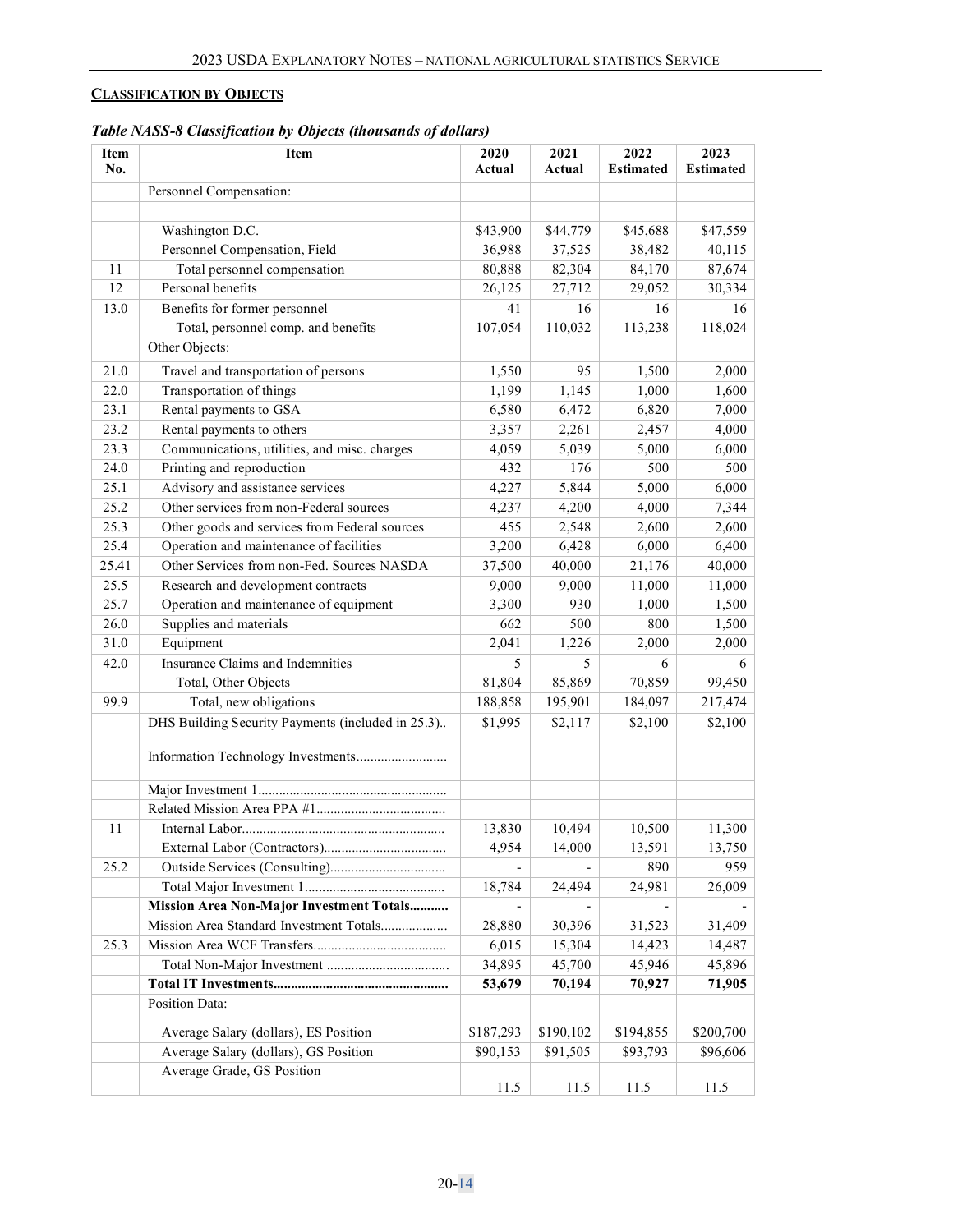## <span id="page-13-0"></span>**CLASSIFICATION BY OBJECTS**

| Table NASS-8 Classification by Objects (thousands of dollars) |  |  |
|---------------------------------------------------------------|--|--|
|                                                               |  |  |

| Item<br>No. | Item                                              | 2020<br>Actual | 2021<br>Actual | 2022<br><b>Estimated</b> | 2023<br><b>Estimated</b> |
|-------------|---------------------------------------------------|----------------|----------------|--------------------------|--------------------------|
|             | Personnel Compensation:                           |                |                |                          |                          |
|             |                                                   |                |                |                          |                          |
|             | Washington D.C.                                   | \$43,900       | \$44,779       | \$45,688                 | \$47,559                 |
|             | Personnel Compensation, Field                     | 36,988         | 37,525         | 38,482                   | 40,115                   |
| 11          | Total personnel compensation                      | 80,888         | 82,304         | 84,170                   | 87,674                   |
| 12          | Personal benefits                                 | 26,125         | 27,712         | 29,052                   | 30,334                   |
| 13.0        | Benefits for former personnel                     | 41             | 16             | 16                       | 16                       |
|             | Total, personnel comp. and benefits               | 107,054        | 110,032        | 113,238                  | 118,024                  |
|             | Other Objects:                                    |                |                |                          |                          |
| 21.0        | Travel and transportation of persons              | 1,550          | 95             | 1,500                    | 2,000                    |
| 22.0        |                                                   |                |                |                          |                          |
| 23.1        | Transportation of things                          | 1,199          | 1,145          | 1,000                    | 1,600                    |
|             | Rental payments to GSA                            | 6,580          | 6,472          | 6,820                    | 7,000                    |
| 23.2        | Rental payments to others                         | 3,357          | 2,261          | 2,457                    | 4,000                    |
| 23.3        | Communications, utilities, and misc. charges      | 4,059          | 5,039          | 5,000                    | 6,000                    |
| 24.0        | Printing and reproduction                         | 432            | 176            | 500                      | 500                      |
| 25.1        | Advisory and assistance services                  | 4,227          | 5,844          | 5,000                    | 6,000                    |
| 25.2        | Other services from non-Federal sources           | 4,237          | 4,200          | 4,000                    | 7,344                    |
| 25.3        | Other goods and services from Federal sources     | 455            | 2,548          | 2,600                    | 2,600                    |
| 25.4        | Operation and maintenance of facilities           | 3,200          | 6,428          | 6,000                    | 6,400                    |
| 25.41       | Other Services from non-Fed. Sources NASDA        | 37,500         | 40,000         | 21,176                   | 40,000                   |
| 25.5        | Research and development contracts                | 9,000          | 9,000          | 11,000                   | 11,000                   |
| 25.7        | Operation and maintenance of equipment            | 3,300          | 930            | 1,000                    | 1,500                    |
| 26.0        | Supplies and materials                            | 662            | 500            | 800                      | 1,500                    |
| 31.0        | Equipment                                         | 2,041          | 1,226          | 2,000                    | 2,000                    |
| 42.0        | Insurance Claims and Indemnities                  | 5.             | 5              | 6                        | 6                        |
|             | Total, Other Objects                              | 81,804         | 85,869         | 70,859                   | 99,450                   |
| 99.9        | Total, new obligations                            | 188,858        | 195,901        | 184,097                  | 217,474                  |
|             | DHS Building Security Payments (included in 25.3) | \$1,995        | \$2,117        | \$2,100                  | \$2,100                  |
|             | Information Technology Investments                |                |                |                          |                          |
|             |                                                   |                |                |                          |                          |
|             |                                                   |                |                |                          |                          |
| 11          |                                                   | 13,830         | 10,494         | 10,500                   | 11,300                   |
|             |                                                   | 4,954          | 14,000         | 13,591                   | 13,750                   |
| 25.2        |                                                   |                |                | 890                      | 959                      |
|             |                                                   | 18,784         | 24,494         | 24,981                   | 26,009                   |
|             | Mission Area Non-Major Investment Totals          |                |                |                          |                          |
|             | Mission Area Standard Investment Totals           | 28,880         | 30,396         | 31,523                   | 31,409                   |
| 25.3        |                                                   | 6,015          | 15,304         | 14,423                   | 14,487                   |
|             |                                                   | 34,895         | 45,700         | 45,946                   | 45,896                   |
|             |                                                   | 53,679         | 70,194         | 70,927                   | 71,905                   |
|             | Position Data:                                    |                |                |                          |                          |
|             | Average Salary (dollars), ES Position             | \$187,293      | \$190,102      | \$194,855                | \$200,700                |
|             | Average Salary (dollars), GS Position             | \$90,153       | \$91,505       | \$93,793                 | \$96,606                 |
|             | Average Grade, GS Position                        |                |                |                          |                          |
|             |                                                   | 11.5           | 11.5           | 11.5                     | 11.5                     |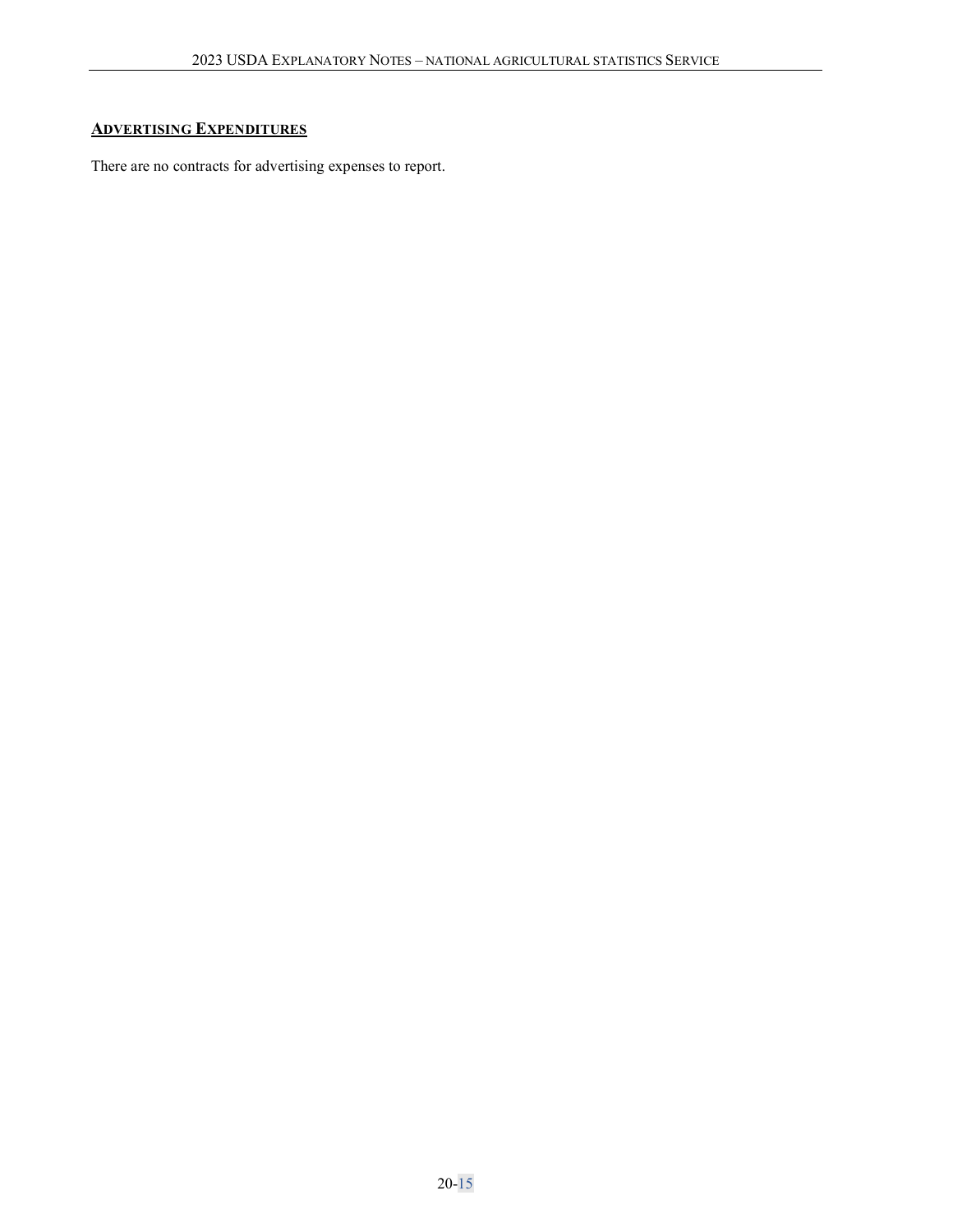## **ADVERTISING EXPENDITURES**

There are no contracts for advertising expenses to report.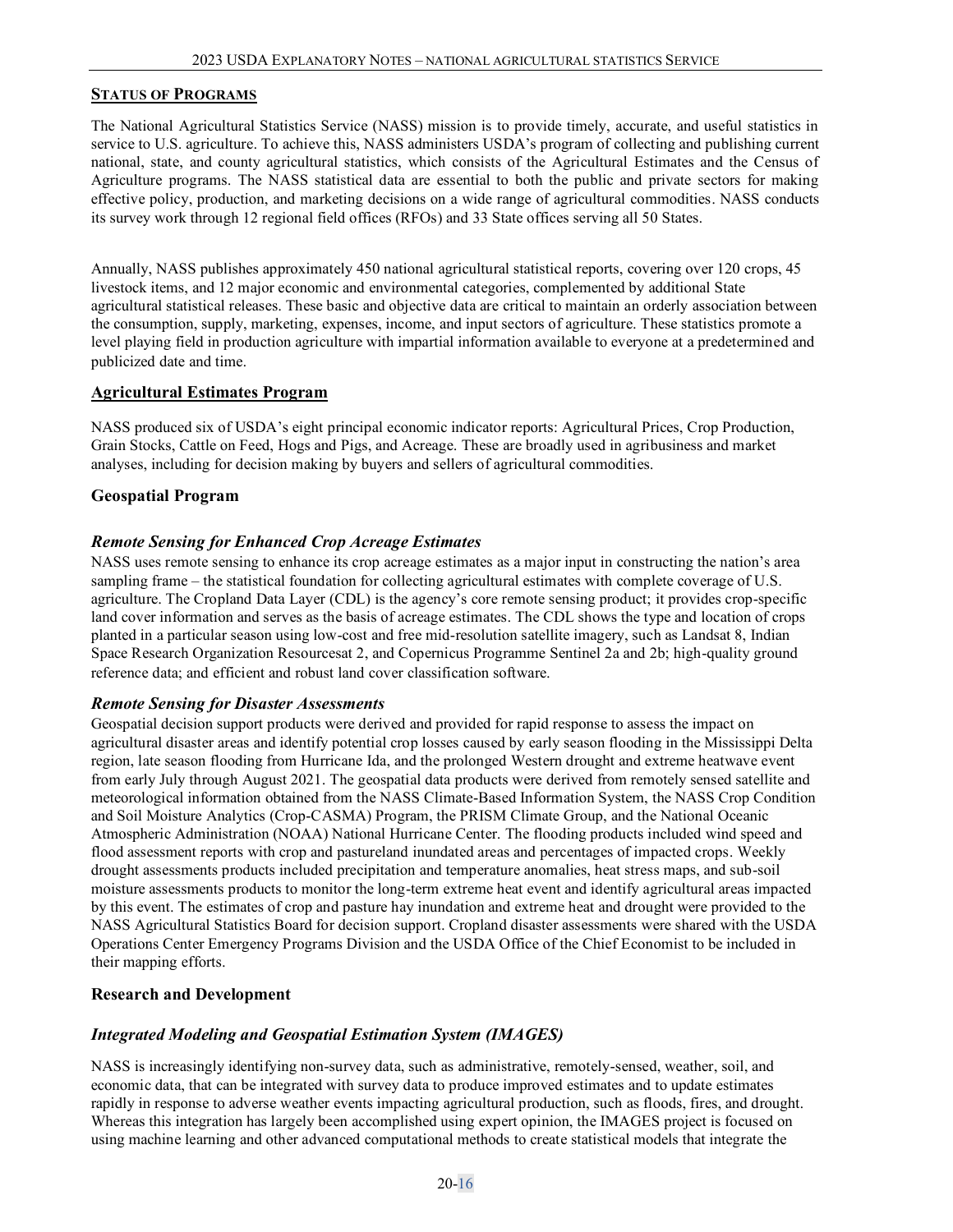#### <span id="page-15-0"></span>**STATUS OF PROGRAMS**

The National Agricultural Statistics Service (NASS) mission is to provide timely, accurate, and useful statistics in service to U.S. agriculture. To achieve this, NASS administers USDA's program of collecting and publishing current national, state, and county agricultural statistics, which consists of the Agricultural Estimates and the Census of Agriculture programs. The NASS statistical data are essential to both the public and private sectors for making effective policy, production, and marketing decisions on a wide range of agricultural commodities. NASS conducts its survey work through 12 regional field offices (RFOs) and 33 State offices serving all 50 States.

Annually, NASS publishes approximately 450 national agricultural statistical reports, covering over 120 crops, 45 livestock items, and 12 major economic and environmental categories, complemented by additional State agricultural statistical releases. These basic and objective data are critical to maintain an orderly association between the consumption, supply, marketing, expenses, income, and input sectors of agriculture. These statistics promote a level playing field in production agriculture with impartial information available to everyone at a predetermined and publicized date and time.

#### **Agricultural Estimates Program**

NASS produced six of USDA's eight principal economic indicator reports: Agricultural Prices, Crop Production, Grain Stocks, Cattle on Feed, Hogs and Pigs, and Acreage. These are broadly used in agribusiness and market analyses, including for decision making by buyers and sellers of agricultural commodities.

### **Geospatial Program**

### *Remote Sensing for Enhanced Crop Acreage Estimates*

NASS uses remote sensing to enhance its crop acreage estimates as a major input in constructing the nation's area sampling frame – the statistical foundation for collecting agricultural estimates with complete coverage of U.S. agriculture. The Cropland Data Layer (CDL) is the agency's core remote sensing product; it provides crop-specific land cover information and serves as the basis of acreage estimates. The CDL shows the type and location of crops planted in a particular season using low-cost and free mid-resolution satellite imagery, such as Landsat 8, Indian Space Research Organization Resourcesat 2, and Copernicus Programme Sentinel 2a and 2b; high-quality ground reference data; and efficient and robust land cover classification software.

#### *Remote Sensing for Disaster Assessments*

Geospatial decision support products were derived and provided for rapid response to assess the impact on agricultural disaster areas and identify potential crop losses caused by early season flooding in the Mississippi Delta region, late season flooding from Hurricane Ida, and the prolonged Western drought and extreme heatwave event from early July through August 2021. The geospatial data products were derived from remotely sensed satellite and meteorological information obtained from the NASS Climate-Based Information System, the NASS Crop Condition and Soil Moisture Analytics (Crop-CASMA) Program, the PRISM Climate Group, and the National Oceanic Atmospheric Administration (NOAA) National Hurricane Center. The flooding products included wind speed and flood assessment reports with crop and pastureland inundated areas and percentages of impacted crops. Weekly drought assessments products included precipitation and temperature anomalies, heat stress maps, and sub-soil moisture assessments products to monitor the long-term extreme heat event and identify agricultural areas impacted by this event. The estimates of crop and pasture hay inundation and extreme heat and drought were provided to the NASS Agricultural Statistics Board for decision support. Cropland disaster assessments were shared with the USDA Operations Center Emergency Programs Division and the USDA Office of the Chief Economist to be included in their mapping efforts.

#### **Research and Development**

## *Integrated Modeling and Geospatial Estimation System (IMAGES)*

NASS is increasingly identifying non-survey data, such as administrative, remotely-sensed, weather, soil, and economic data, that can be integrated with survey data to produce improved estimates and to update estimates rapidly in response to adverse weather events impacting agricultural production, such as floods, fires, and drought. Whereas this integration has largely been accomplished using expert opinion, the IMAGES project is focused on using machine learning and other advanced computational methods to create statistical models that integrate the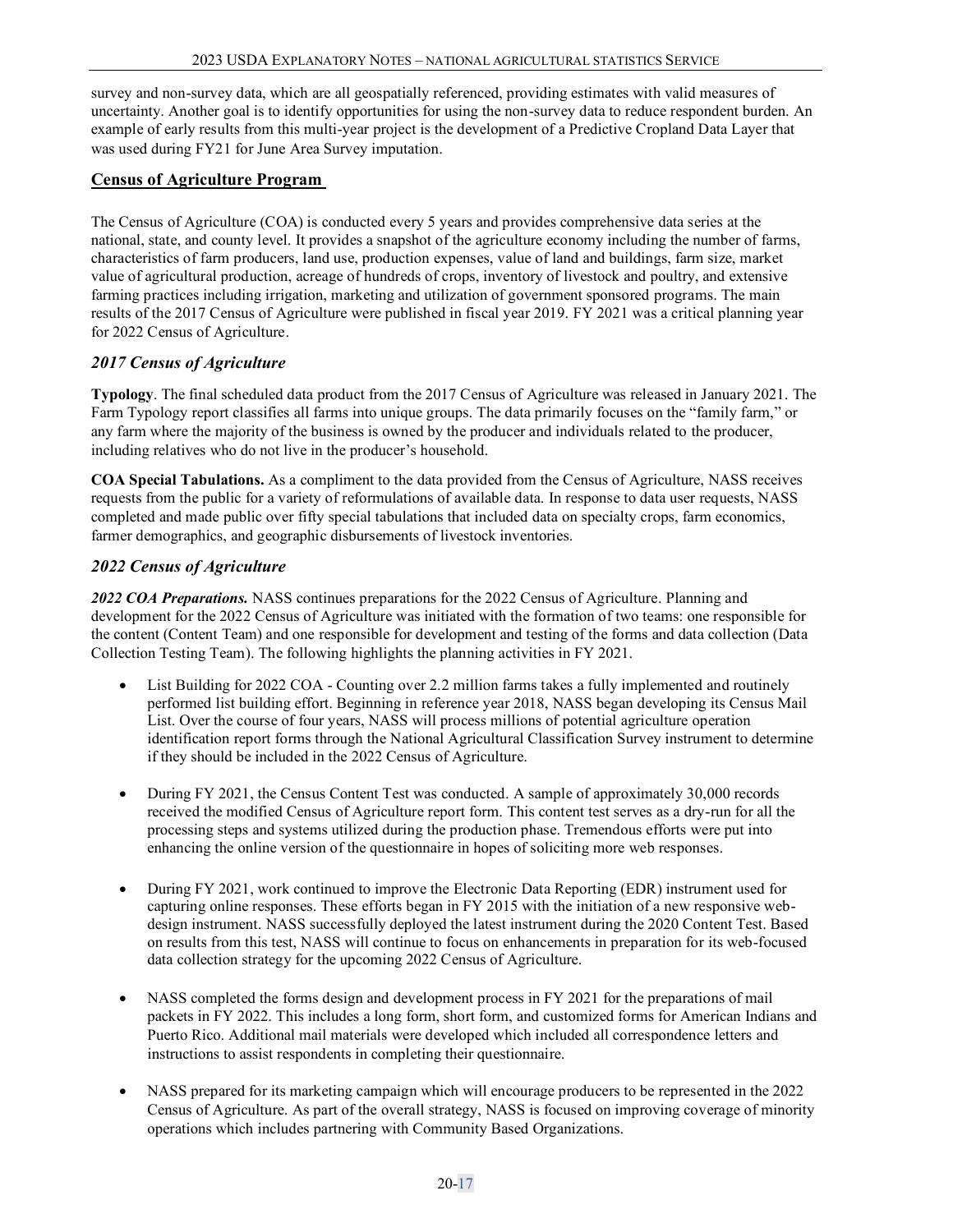survey and non-survey data, which are all geospatially referenced, providing estimates with valid measures of uncertainty. Another goal is to identify opportunities for using the non-survey data to reduce respondent burden. An example of early results from this multi-year project is the development of a Predictive Cropland Data Layer that was used during FY21 for June Area Survey imputation.

## **Census of Agriculture Program**

The Census of Agriculture (COA) is conducted every 5 years and provides comprehensive data series at the national, state, and county level. It provides a snapshot of the agriculture economy including the number of farms, characteristics of farm producers, land use, production expenses, value of land and buildings, farm size, market value of agricultural production, acreage of hundreds of crops, inventory of livestock and poultry, and extensive farming practices including irrigation, marketing and utilization of government sponsored programs. The main results of the 2017 Census of Agriculture were published in fiscal year 2019. FY 2021 was a critical planning year for 2022 Census of Agriculture.

## *2017 Census of Agriculture*

**Typology**. The final scheduled data product from the 2017 Census of Agriculture was released in January 2021. The Farm Typology report classifies all farms into unique groups. The data primarily focuses on the "family farm," or any farm where the majority of the business is owned by the producer and individuals related to the producer, including relatives who do not live in the producer's household.

**COA Special Tabulations.** As a compliment to the data provided from the Census of Agriculture, NASS receives requests from the public for a variety of reformulations of available data. In response to data user requests, NASS completed and made public over fifty special tabulations that included data on specialty crops, farm economics, farmer demographics, and geographic disbursements of livestock inventories.

## *2022 Census of Agriculture*

*2022 COA Preparations.* NASS continues preparations for the 2022 Census of Agriculture. Planning and development for the 2022 Census of Agriculture was initiated with the formation of two teams: one responsible for the content (Content Team) and one responsible for development and testing of the forms and data collection (Data Collection Testing Team). The following highlights the planning activities in FY 2021.

- List Building for 2022 COA Counting over 2.2 million farms takes a fully implemented and routinely performed list building effort. Beginning in reference year 2018, NASS began developing its Census Mail List. Over the course of four years, NASS will process millions of potential agriculture operation identification report forms through the National Agricultural Classification Survey instrument to determine if they should be included in the 2022 Census of Agriculture.
- During FY 2021, the Census Content Test was conducted. A sample of approximately 30,000 records received the modified Census of Agriculture report form. This content test serves as a dry-run for all the processing steps and systems utilized during the production phase. Tremendous efforts were put into enhancing the online version of the questionnaire in hopes of soliciting more web responses.
- During FY 2021, work continued to improve the Electronic Data Reporting (EDR) instrument used for capturing online responses. These efforts began in FY 2015 with the initiation of a new responsive webdesign instrument. NASS successfully deployed the latest instrument during the 2020 Content Test. Based on results from this test, NASS will continue to focus on enhancements in preparation for its web-focused data collection strategy for the upcoming 2022 Census of Agriculture.
- NASS completed the forms design and development process in FY 2021 for the preparations of mail packets in FY 2022. This includes a long form, short form, and customized forms for American Indians and Puerto Rico. Additional mail materials were developed which included all correspondence letters and instructions to assist respondents in completing their questionnaire.
- NASS prepared for its marketing campaign which will encourage producers to be represented in the 2022 Census of Agriculture. As part of the overall strategy, NASS is focused on improving coverage of minority operations which includes partnering with Community Based Organizations.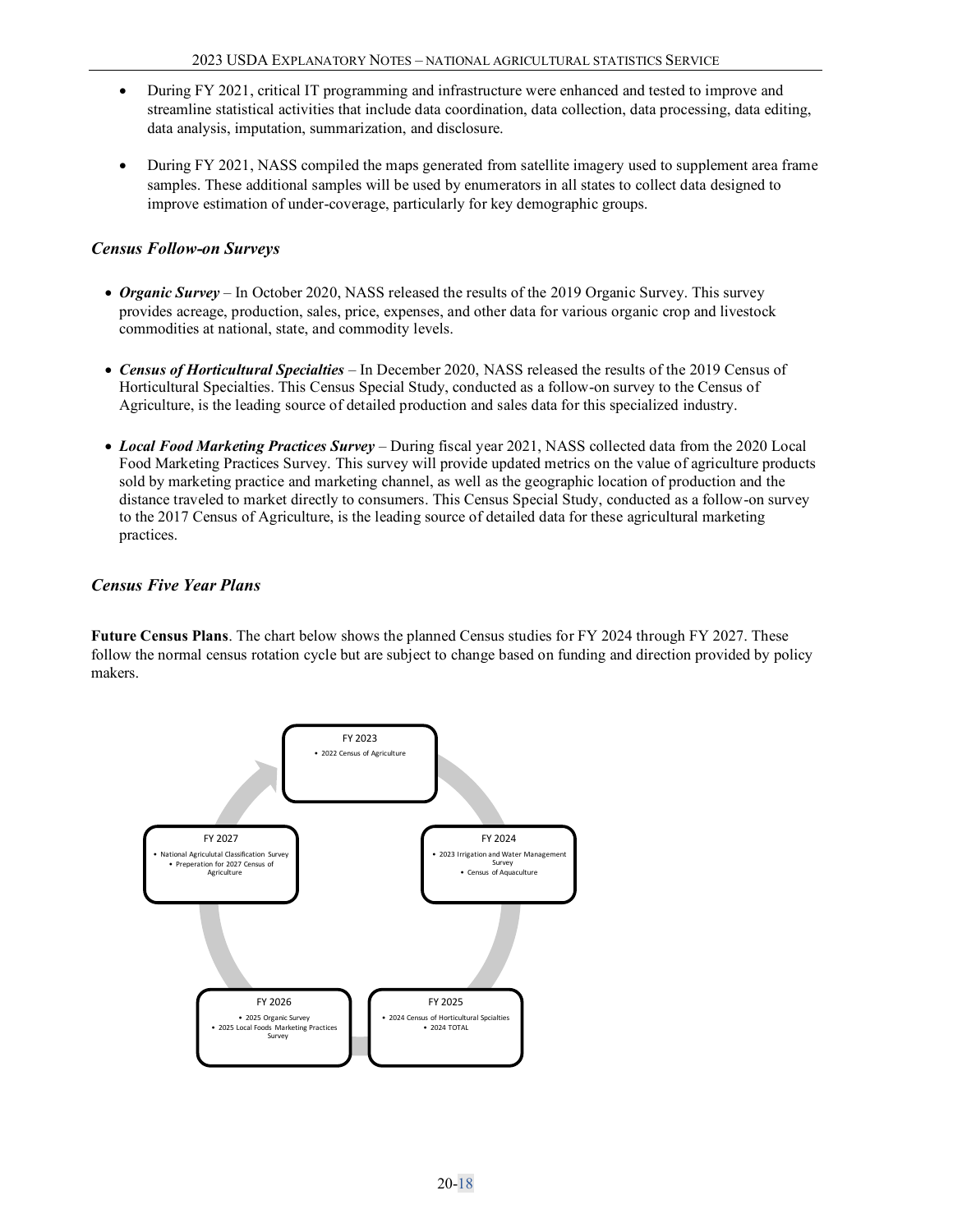- During FY 2021, critical IT programming and infrastructure were enhanced and tested to improve and streamline statistical activities that include data coordination, data collection, data processing, data editing, data analysis, imputation, summarization, and disclosure.
- During FY 2021, NASS compiled the maps generated from satellite imagery used to supplement area frame samples. These additional samples will be used by enumerators in all states to collect data designed to improve estimation of under-coverage, particularly for key demographic groups.

## *Census Follow-on Surveys*

- *Organic Survey* In October 2020, NASS released the results of the 2019 Organic Survey. This survey provides acreage, production, sales, price, expenses, and other data for various organic crop and livestock commodities at national, state, and commodity levels.
- *Census of Horticultural Specialties* In December 2020, NASS released the results of the 2019 Census of Horticultural Specialties. This Census Special Study, conducted as a follow-on survey to the Census of Agriculture, is the leading source of detailed production and sales data for this specialized industry.
- *Local Food Marketing Practices Survey* During fiscal year 2021, NASS collected data from the 2020 Local Food Marketing Practices Survey. This survey will provide updated metrics on the value of agriculture products sold by marketing practice and marketing channel, as well as the geographic location of production and the distance traveled to market directly to consumers. This Census Special Study, conducted as a follow-on survey to the 2017 Census of Agriculture, is the leading source of detailed data for these agricultural marketing practices.

## *Census Five Year Plans*

**Future Census Plans**. The chart below shows the planned Census studies for FY 2024 through FY 2027. These follow the normal census rotation cycle but are subject to change based on funding and direction provided by policy makers.

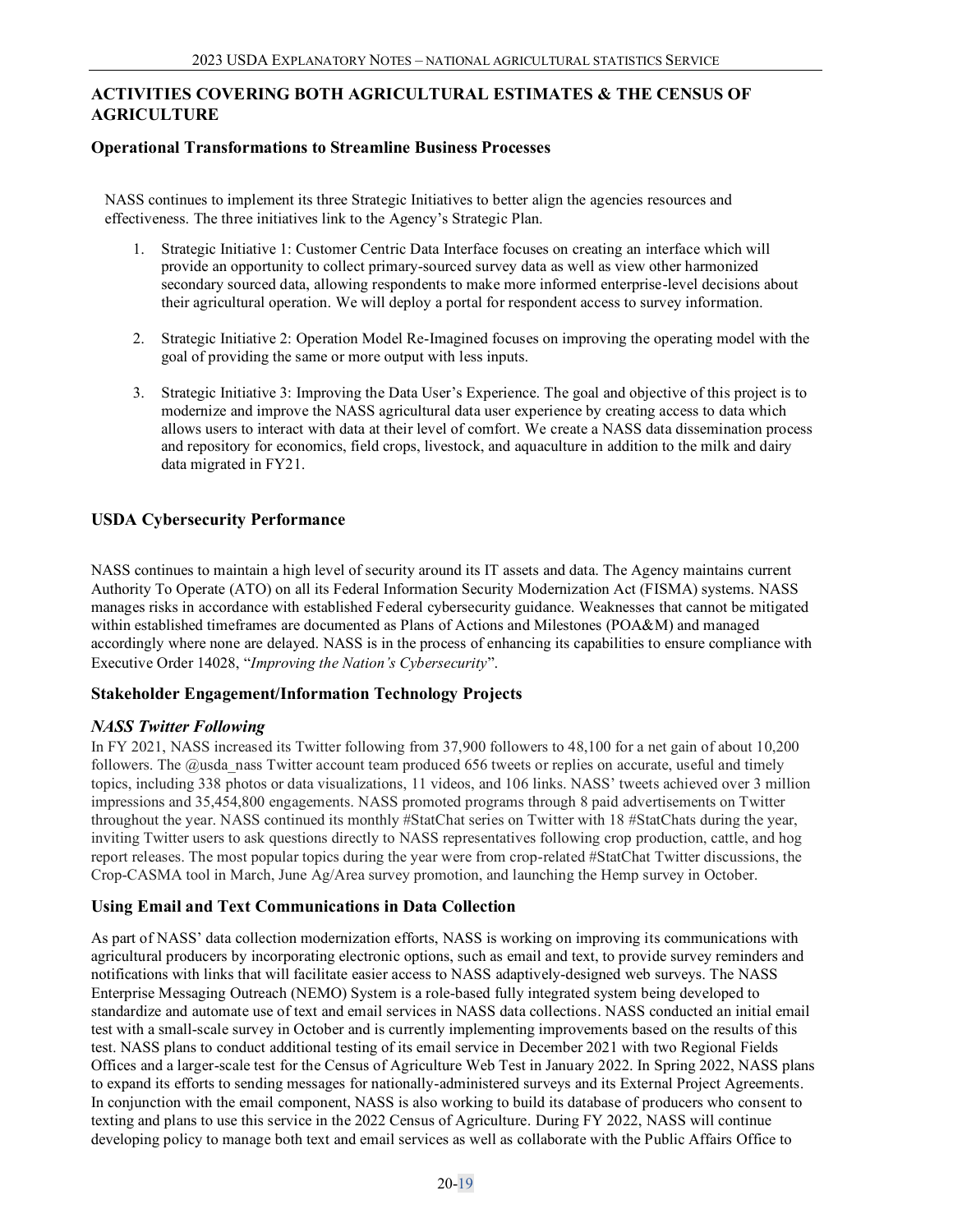## **ACTIVITIES COVERING BOTH AGRICULTURAL ESTIMATES & THE CENSUS OF AGRICULTURE**

### **Operational Transformations to Streamline Business Processes**

NASS continues to implement its three Strategic Initiatives to better align the agencies resources and effectiveness. The three initiatives link to the Agency's Strategic Plan.

- 1. Strategic Initiative 1: Customer Centric Data Interface focuses on creating an interface which will provide an opportunity to collect primary-sourced survey data as well as view other harmonized secondary sourced data, allowing respondents to make more informed enterprise-level decisions about their agricultural operation. We will deploy a portal for respondent access to survey information.
- 2. Strategic Initiative 2: Operation Model Re-Imagined focuses on improving the operating model with the goal of providing the same or more output with less inputs.
- 3. Strategic Initiative 3: Improving the Data User's Experience. The goal and objective of this project is to modernize and improve the NASS agricultural data user experience by creating access to data which allows users to interact with data at their level of comfort. We create a NASS data dissemination process and repository for economics, field crops, livestock, and aquaculture in addition to the milk and dairy data migrated in FY21.

## **USDA Cybersecurity Performance**

NASS continues to maintain a high level of security around its IT assets and data. The Agency maintains current Authority To Operate (ATO) on all its Federal Information Security Modernization Act (FISMA) systems. NASS manages risks in accordance with established Federal cybersecurity guidance. Weaknesses that cannot be mitigated within established timeframes are documented as Plans of Actions and Milestones (POA&M) and managed accordingly where none are delayed. NASS is in the process of enhancing its capabilities to ensure compliance with Executive Order 14028, "*Improving the Nation's Cybersecurity*".

## **Stakeholder Engagement/Information Technology Projects**

## *NASS Twitter Following*

In FY 2021, NASS increased its Twitter following from 37,900 followers to 48,100 for a net gain of about 10,200 followers. The @usda\_nass Twitter account team produced 656 tweets or replies on accurate, useful and timely topics, including 338 photos or data visualizations, 11 videos, and 106 links. NASS' tweets achieved over 3 million impressions and 35,454,800 engagements. NASS promoted programs through 8 paid advertisements on Twitter throughout the year. NASS continued its monthly #StatChat series on Twitter with 18 #StatChats during the year, inviting Twitter users to ask questions directly to NASS representatives following crop production, cattle, and hog report releases. The most popular topics during the year were from crop-related #StatChat Twitter discussions, the Crop-CASMA tool in March, June Ag/Area survey promotion, and launching the Hemp survey in October.

## **Using Email and Text Communications in Data Collection**

As part of NASS' data collection modernization efforts, NASS is working on improving its communications with agricultural producers by incorporating electronic options, such as email and text, to provide survey reminders and notifications with links that will facilitate easier access to NASS adaptively-designed web surveys. The NASS Enterprise Messaging Outreach (NEMO) System is a role-based fully integrated system being developed to standardize and automate use of text and email services in NASS data collections. NASS conducted an initial email test with a small-scale survey in October and is currently implementing improvements based on the results of this test. NASS plans to conduct additional testing of its email service in December 2021 with two Regional Fields Offices and a larger-scale test for the Census of Agriculture Web Test in January 2022. In Spring 2022, NASS plans to expand its efforts to sending messages for nationally-administered surveys and its External Project Agreements. In conjunction with the email component, NASS is also working to build its database of producers who consent to texting and plans to use this service in the 2022 Census of Agriculture. During FY 2022, NASS will continue developing policy to manage both text and email services as well as collaborate with the Public Affairs Office to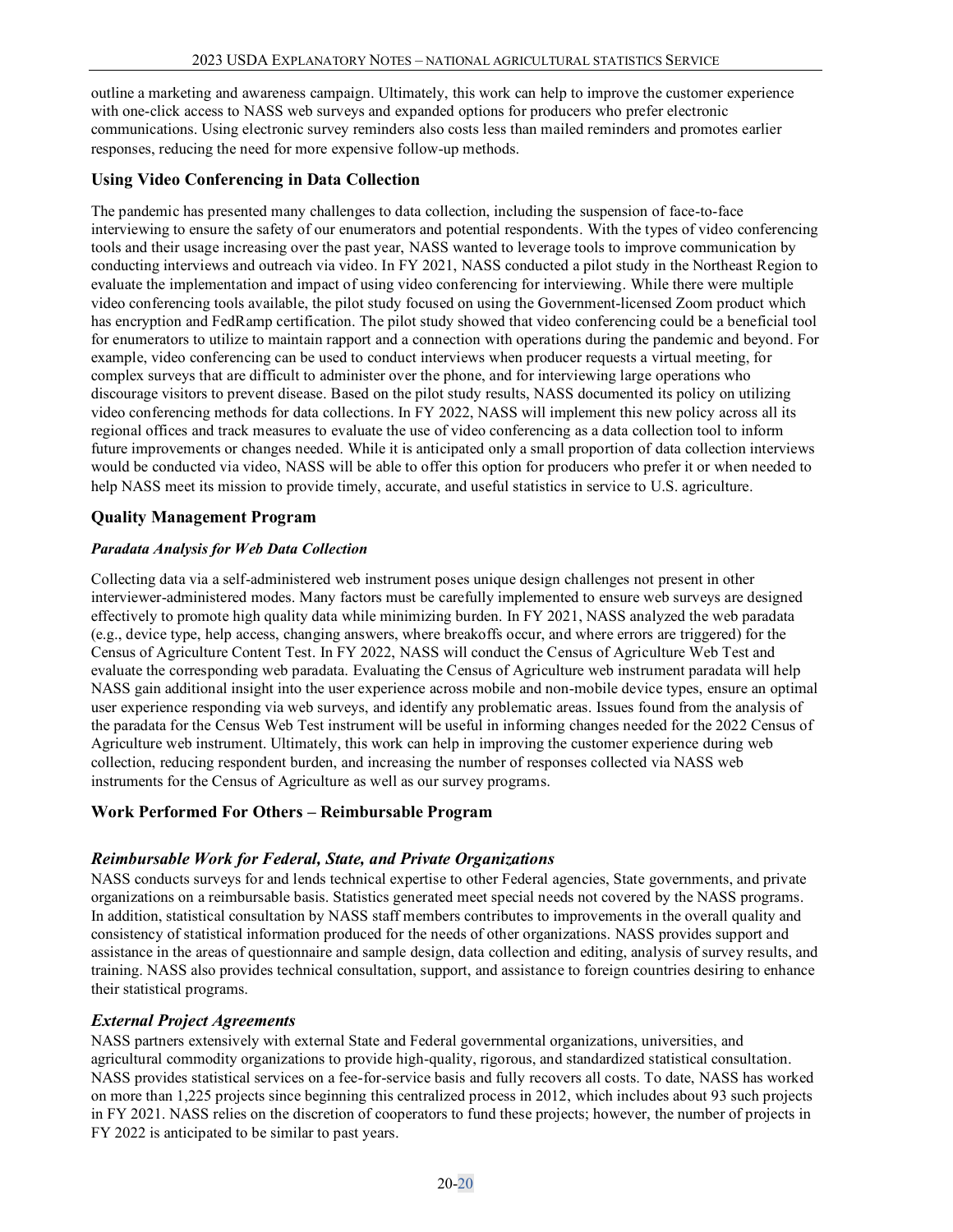outline a marketing and awareness campaign. Ultimately, this work can help to improve the customer experience with one-click access to NASS web surveys and expanded options for producers who prefer electronic communications. Using electronic survey reminders also costs less than mailed reminders and promotes earlier responses, reducing the need for more expensive follow-up methods.

### **Using Video Conferencing in Data Collection**

The pandemic has presented many challenges to data collection, including the suspension of face-to-face interviewing to ensure the safety of our enumerators and potential respondents. With the types of video conferencing tools and their usage increasing over the past year, NASS wanted to leverage tools to improve communication by conducting interviews and outreach via video. In FY 2021, NASS conducted a pilot study in the Northeast Region to evaluate the implementation and impact of using video conferencing for interviewing. While there were multiple video conferencing tools available, the pilot study focused on using the Government-licensed Zoom product which has encryption and FedRamp certification. The pilot study showed that video conferencing could be a beneficial tool for enumerators to utilize to maintain rapport and a connection with operations during the pandemic and beyond. For example, video conferencing can be used to conduct interviews when producer requests a virtual meeting, for complex surveys that are difficult to administer over the phone, and for interviewing large operations who discourage visitors to prevent disease. Based on the pilot study results, NASS documented its policy on utilizing video conferencing methods for data collections. In FY 2022, NASS will implement this new policy across all its regional offices and track measures to evaluate the use of video conferencing as a data collection tool to inform future improvements or changes needed. While it is anticipated only a small proportion of data collection interviews would be conducted via video, NASS will be able to offer this option for producers who prefer it or when needed to help NASS meet its mission to provide timely, accurate, and useful statistics in service to U.S. agriculture.

### **Quality Management Program**

#### *Paradata Analysis for Web Data Collection*

Collecting data via a self-administered web instrument poses unique design challenges not present in other interviewer-administered modes. Many factors must be carefully implemented to ensure web surveys are designed effectively to promote high quality data while minimizing burden. In FY 2021, NASS analyzed the web paradata (e.g., device type, help access, changing answers, where breakoffs occur, and where errors are triggered) for the Census of Agriculture Content Test. In FY 2022, NASS will conduct the Census of Agriculture Web Test and evaluate the corresponding web paradata. Evaluating the Census of Agriculture web instrument paradata will help NASS gain additional insight into the user experience across mobile and non-mobile device types, ensure an optimal user experience responding via web surveys, and identify any problematic areas. Issues found from the analysis of the paradata for the Census Web Test instrument will be useful in informing changes needed for the 2022 Census of Agriculture web instrument. Ultimately, this work can help in improving the customer experience during web collection, reducing respondent burden, and increasing the number of responses collected via NASS web instruments for the Census of Agriculture as well as our survey programs.

#### **Work Performed For Others – Reimbursable Program**

#### *Reimbursable Work for Federal, State, and Private Organizations*

NASS conducts surveys for and lends technical expertise to other Federal agencies, State governments, and private organizations on a reimbursable basis. Statistics generated meet special needs not covered by the NASS programs. In addition, statistical consultation by NASS staff members contributes to improvements in the overall quality and consistency of statistical information produced for the needs of other organizations. NASS provides support and assistance in the areas of questionnaire and sample design, data collection and editing, analysis of survey results, and training. NASS also provides technical consultation, support, and assistance to foreign countries desiring to enhance their statistical programs.

#### *External Project Agreements*

NASS partners extensively with external State and Federal governmental organizations, universities, and agricultural commodity organizations to provide high-quality, rigorous, and standardized statistical consultation. NASS provides statistical services on a fee-for-service basis and fully recovers all costs. To date, NASS has worked on more than 1,225 projects since beginning this centralized process in 2012, which includes about 93 such projects in FY 2021. NASS relies on the discretion of cooperators to fund these projects; however, the number of projects in FY 2022 is anticipated to be similar to past years.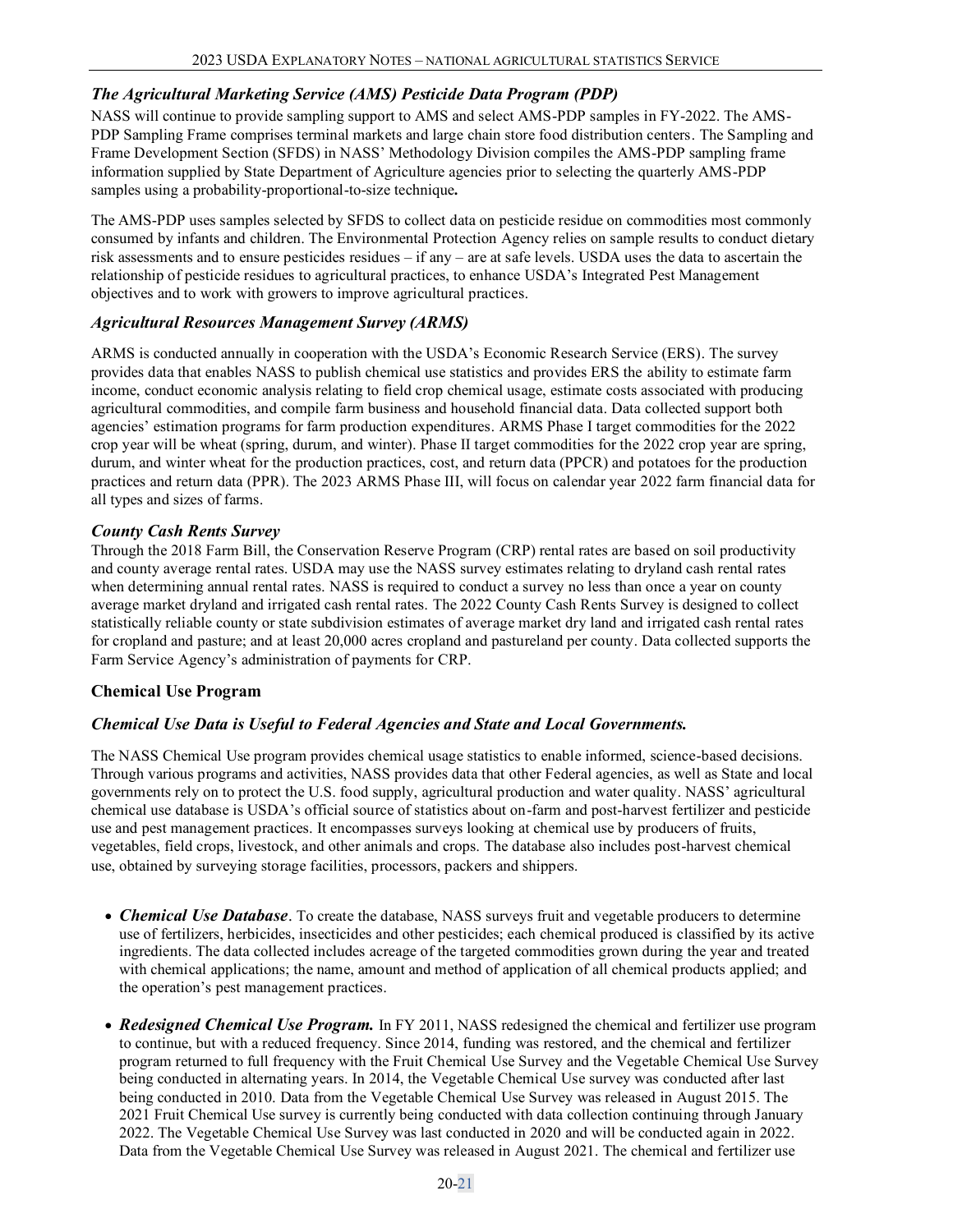## *The Agricultural Marketing Service (AMS) Pesticide Data Program (PDP)*

NASS will continue to provide sampling support to AMS and select AMS-PDP samples in FY-2022. The AMS-PDP Sampling Frame comprises terminal markets and large chain store food distribution centers. The Sampling and Frame Development Section (SFDS) in NASS' Methodology Division compiles the AMS-PDP sampling frame information supplied by State Department of Agriculture agencies prior to selecting the quarterly AMS-PDP samples using a probability-proportional-to-size technique*.* 

The AMS-PDP uses samples selected by SFDS to collect data on pesticide residue on commodities most commonly consumed by infants and children. The Environmental Protection Agency relies on sample results to conduct dietary risk assessments and to ensure pesticides residues – if any – are at safe levels. USDA uses the data to ascertain the relationship of pesticide residues to agricultural practices, to enhance USDA's Integrated Pest Management objectives and to work with growers to improve agricultural practices.

### *Agricultural Resources Management Survey (ARMS)*

ARMS is conducted annually in cooperation with the USDA's Economic Research Service (ERS). The survey provides data that enables NASS to publish chemical use statistics and provides ERS the ability to estimate farm income, conduct economic analysis relating to field crop chemical usage, estimate costs associated with producing agricultural commodities, and compile farm business and household financial data. Data collected support both agencies' estimation programs for farm production expenditures. ARMS Phase I target commodities for the 2022 crop year will be wheat (spring, durum, and winter). Phase II target commodities for the 2022 crop year are spring, durum, and winter wheat for the production practices, cost, and return data (PPCR) and potatoes for the production practices and return data (PPR). The 2023 ARMS Phase III, will focus on calendar year 2022 farm financial data for all types and sizes of farms.

### *County Cash Rents Survey*

Through the 2018 Farm Bill, the Conservation Reserve Program (CRP) rental rates are based on soil productivity and county average rental rates. USDA may use the NASS survey estimates relating to dryland cash rental rates when determining annual rental rates. NASS is required to conduct a survey no less than once a year on county average market dryland and irrigated cash rental rates. The 2022 County Cash Rents Survey is designed to collect statistically reliable county or state subdivision estimates of average market dry land and irrigated cash rental rates for cropland and pasture; and at least 20,000 acres cropland and pastureland per county. Data collected supports the Farm Service Agency's administration of payments for CRP.

## **Chemical Use Program**

## *Chemical Use Data is Useful to Federal Agencies and State and Local Governments.*

The NASS Chemical Use program provides chemical usage statistics to enable informed, science-based decisions. Through various programs and activities, NASS provides data that other Federal agencies, as well as State and local governments rely on to protect the U.S. food supply, agricultural production and water quality. NASS' agricultural chemical use database is USDA's official source of statistics about on-farm and post-harvest fertilizer and pesticide use and pest management practices. It encompasses surveys looking at chemical use by producers of fruits, vegetables, field crops, livestock, and other animals and crops. The database also includes post-harvest chemical use, obtained by surveying storage facilities, processors, packers and shippers.

- *Chemical Use Database*. To create the database, NASS surveys fruit and vegetable producers to determine use of fertilizers, herbicides, insecticides and other pesticides; each chemical produced is classified by its active ingredients. The data collected includes acreage of the targeted commodities grown during the year and treated with chemical applications; the name, amount and method of application of all chemical products applied; and the operation's pest management practices.
- *Redesigned Chemical Use Program.* In FY 2011, NASS redesigned the chemical and fertilizer use program to continue, but with a reduced frequency. Since 2014, funding was restored, and the chemical and fertilizer program returned to full frequency with the Fruit Chemical Use Survey and the Vegetable Chemical Use Survey being conducted in alternating years. In 2014, the Vegetable Chemical Use survey was conducted after last being conducted in 2010. Data from the Vegetable Chemical Use Survey was released in August 2015. The 2021 Fruit Chemical Use survey is currently being conducted with data collection continuing through January 2022. The Vegetable Chemical Use Survey was last conducted in 2020 and will be conducted again in 2022. Data from the Vegetable Chemical Use Survey was released in August 2021. The chemical and fertilizer use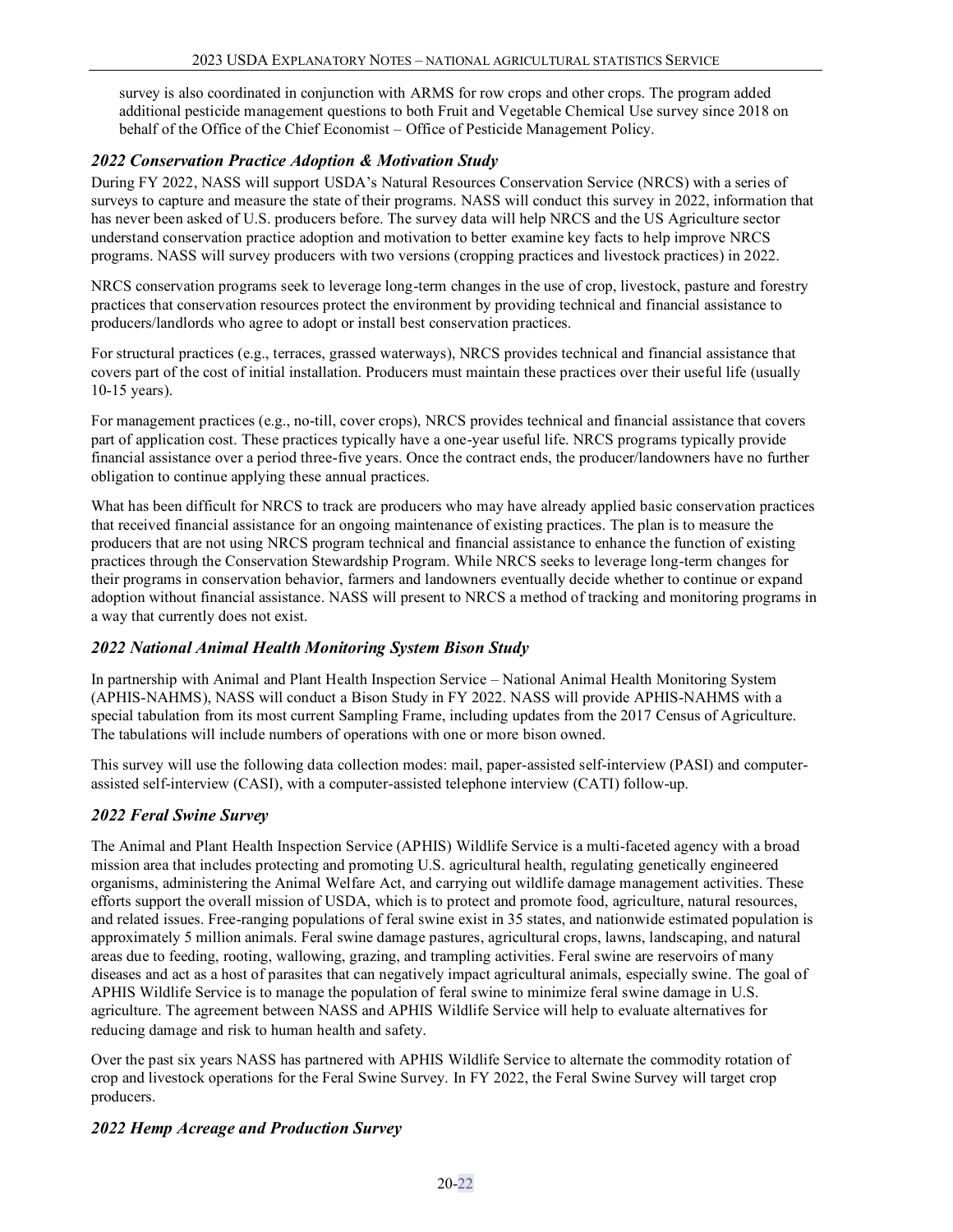survey is also coordinated in conjunction with ARMS for row crops and other crops. The program added additional pesticide management questions to both Fruit and Vegetable Chemical Use survey since 2018 on behalf of the Office of the Chief Economist – Office of Pesticide Management Policy.

## *2022 Conservation Practice Adoption & Motivation Study*

During FY 2022, NASS will support USDA's Natural Resources Conservation Service (NRCS) with a series of surveys to capture and measure the state of their programs. NASS will conduct this survey in 2022, information that has never been asked of U.S. producers before. The survey data will help NRCS and the US Agriculture sector understand conservation practice adoption and motivation to better examine key facts to help improve NRCS programs. NASS will survey producers with two versions (cropping practices and livestock practices) in 2022.

NRCS conservation programs seek to leverage long-term changes in the use of crop, livestock, pasture and forestry practices that conservation resources protect the environment by providing technical and financial assistance to producers/landlords who agree to adopt or install best conservation practices.

For structural practices (e.g., terraces, grassed waterways), NRCS provides technical and financial assistance that covers part of the cost of initial installation. Producers must maintain these practices over their useful life (usually 10-15 years).

For management practices (e.g., no-till, cover crops), NRCS provides technical and financial assistance that covers part of application cost. These practices typically have a one-year useful life. NRCS programs typically provide financial assistance over a period three-five years. Once the contract ends, the producer/landowners have no further obligation to continue applying these annual practices.

What has been difficult for NRCS to track are producers who may have already applied basic conservation practices that received financial assistance for an ongoing maintenance of existing practices. The plan is to measure the producers that are not using NRCS program technical and financial assistance to enhance the function of existing practices through the Conservation Stewardship Program. While NRCS seeks to leverage long-term changes for their programs in conservation behavior, farmers and landowners eventually decide whether to continue or expand adoption without financial assistance. NASS will present to NRCS a method of tracking and monitoring programs in a way that currently does not exist.

#### *2022 National Animal Health Monitoring System Bison Study*

In partnership with Animal and Plant Health Inspection Service – National Animal Health Monitoring System (APHIS-NAHMS), NASS will conduct a Bison Study in FY 2022. NASS will provide APHIS-NAHMS with a special tabulation from its most current Sampling Frame, including updates from the 2017 Census of Agriculture. The tabulations will include numbers of operations with one or more bison owned.

This survey will use the following data collection modes: mail, paper-assisted self-interview (PASI) and computerassisted self-interview (CASI), with a computer-assisted telephone interview (CATI) follow-up.

## *2022 Feral Swine Survey*

The Animal and Plant Health Inspection Service (APHIS) Wildlife Service is a multi-faceted agency with a broad mission area that includes protecting and promoting U.S. agricultural health, regulating genetically engineered organisms, administering the Animal Welfare Act, and carrying out wildlife damage management activities. These efforts support the overall mission of USDA, which is to protect and promote food, agriculture, natural resources, and related issues. Free-ranging populations of feral swine exist in 35 states, and nationwide estimated population is approximately 5 million animals. Feral swine damage pastures, agricultural crops, lawns, landscaping, and natural areas due to feeding, rooting, wallowing, grazing, and trampling activities. Feral swine are reservoirs of many diseases and act as a host of parasites that can negatively impact agricultural animals, especially swine. The goal of APHIS Wildlife Service is to manage the population of feral swine to minimize feral swine damage in U.S. agriculture. The agreement between NASS and APHIS Wildlife Service will help to evaluate alternatives for reducing damage and risk to human health and safety.

Over the past six years NASS has partnered with APHIS Wildlife Service to alternate the commodity rotation of crop and livestock operations for the Feral Swine Survey. In FY 2022, the Feral Swine Survey will target crop producers.

## *2022 Hemp Acreage and Production Survey*